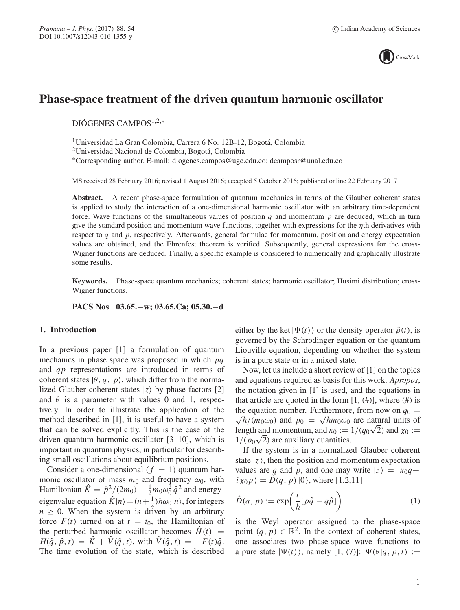

# **Phase-space treatment of the driven quantum harmonic oscillator**

DIÓGENES CAMPOS1,2,<sup>∗</sup>

1Universidad La Gran Colombia, Carrera 6 No. 12B-12, Bogotá, Colombia

2Universidad Nacional de Colombia, Bogotá, Colombia

∗Corresponding author. E-mail: diogenes.campos@ugc.edu.co; dcamposr@unal.edu.co

MS received 28 February 2016; revised 1 August 2016; accepted 5 October 2016; published online 22 February 2017

**Abstract.** A recent phase-space formulation of quantum mechanics in terms of the Glauber coherent states is applied to study the interaction of a one-dimensional harmonic oscillator with an arbitrary time-dependent force. Wave functions of the simultaneous values of position q and momentum  $p$  are deduced, which in turn give the standard position and momentum wave functions, together with expressions for the ηth derivatives with respect to q and p, respectively. Afterwards, general formulae for momentum, position and energy expectation values are obtained, and the Ehrenfest theorem is verified. Subsequently, general expressions for the cross-Wigner functions are deduced. Finally, a specific example is considered to numerically and graphically illustrate some results.

**Keywords.** Phase-space quantum mechanics; coherent states; harmonic oscillator; Husimi distribution; cross-Wigner functions.

**PACS Nos 03.65.−w; 03.65.Ca; 05.30.−d**

### **1. Introduction**

In a previous paper [1] a formulation of quantum mechanics in phase space was proposed in which pq and qp representations are introduced in terms of coherent states  $|\theta, q, p\rangle$ , which differ from the normalized Glauber coherent states  $|z\rangle$  by phase factors [2] and  $\theta$  is a parameter with values 0 and 1, respectively. In order to illustrate the application of the method described in [1], it is useful to have a system that can be solved explicitly. This is the case of the driven quantum harmonic oscillator [3–10], which is important in quantum physics, in particular for describing small oscillations about equilibrium positions.

Consider a one-dimensional  $(f = 1)$  quantum harmonic oscillator of mass  $m_0$  and frequency  $\omega_0$ , with Hamiltonian  $\hat{K} = \hat{p}^2/(2m_0) + \frac{1}{2}m_0\omega_0^2 \hat{q}^2$  and energyeigenvalue equation  $\hat{K}|n\rangle = (n + \frac{1}{2})\hbar\omega_0|n\rangle$ , for integers  $n > 0$ . When the system is driven by an arbitrary  $n \geq 0$ . When the system is driven by an arbitrary force  $F(t)$  turned on at  $t = t_0$ , the Hamiltonian of the perturbed harmonic oscillator becomes  $\hat{H}(t)$  =  $H(\hat{q}, \hat{p}, t) = \hat{K} + \hat{V}(\hat{q}, t)$ , with  $\hat{V}(\hat{q}, t) = -F(t)\hat{q}$ . The time evolution of the state, which is described either by the ket  $|\Psi(t)\rangle$  or the density operator  $\hat{\rho}(t)$ , is governed by the Schrödinger equation or the quantum Liouville equation, depending on whether the system is in a pure state or in a mixed state.

Now, let us include a short review of [1] on the topics and equations required as basis for this work. *Apropos*, the notation given in [1] is used, and the equations in that article are quoted in the form [1,  $(\#)$ ], where  $(\#)$  is the equation number. Furthermore, from now on  $q_0 =$ the equation number. Furthermore, from now on  $q_0 = \sqrt{\hbar / (m_0 \omega_0)}$  and  $p_0 = \sqrt{\hbar m_0 \omega_0}$  are natural units of length and momentum and  $\kappa_0 := 1 / (a_0 \sqrt{2})$  and  $\kappa_0 :=$ length and momentum, and  $\kappa_0 := 1/(q_0\sqrt{2})$  and  $\chi_0 := 1/(q_0\sqrt{2})$  are auxiliary quantities  $1/(p_0\sqrt{2})$  are auxiliary quantities.<br>If the system is in a normalize

If the system is in a normalized Glauber coherent state  $|z\rangle$ , then the position and momentum expectation values are q and p, and one may write  $|z\rangle = |\kappa_0 q +$  $i\chi_0 p$  =  $\hat{D}(q, p)$  |0), where [1,2,11]

$$
\hat{D}(q, p) := \exp\left(\frac{i}{\hbar} [p\hat{q} - q\hat{p}] \right) \tag{1}
$$

is the Weyl operator assigned to the phase-space point  $(q, p) \in \mathbb{R}^2$ . In the context of coherent states, one associates two phase-space wave functions to a pure state  $|\Psi(t)\rangle$ , namely [1, (7)]:  $\Psi(\theta|q, p, t) :=$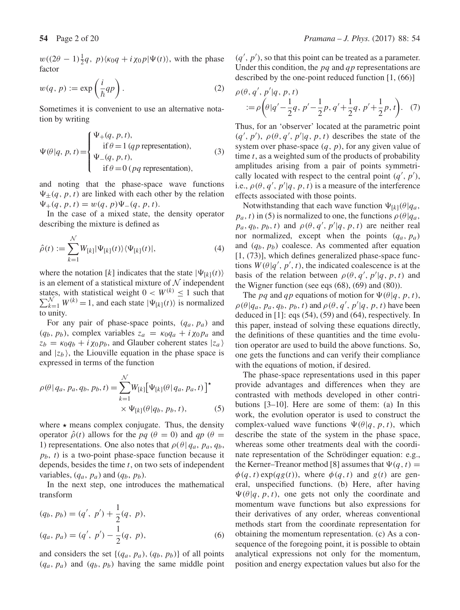$w((2\theta - 1)\frac{1}{2}q, p)\langle \kappa_0 q + i\chi_0 p|\Psi(t)\rangle$ , with the phase factor

$$
w(q, p) := \exp\left(\frac{i}{\hbar}qp\right). \tag{2}
$$

Sometimes it is convenient to use an alternative notation by writing

$$
\Psi(\theta|q, p, t) = \begin{cases} \Psi_{+}(q, p, t), \\ \text{if } \theta = 1 \, (qp \text{ representation}), \\ \Psi_{-}(q, p, t), \\ \text{if } \theta = 0 \, (pq \text{ representation}), \end{cases}
$$
\n(3)

and noting that the phase-space wave functions  $\Psi_{\pm}(q, p, t)$  are linked with each other by the relation  $\Psi_{+}(q, p, t) = w(q, p)\Psi_{-}(q, p, t).$ 

In the case of a mixed state, the density operator describing the mixture is defined as

$$
\hat{\rho}(t) := \sum_{k=1}^{N} W_{[k]} |\Psi_{[k]}(t)\rangle \langle \Psi_{[k]}(t)|, \tag{4}
$$

where the notation [k] indicates that the state  $|\Psi_{[k]}(t)\rangle$ is an element of a statistical mixture of  $N$  independent  $\sum_{k=1}^{N} W^{(k)} = 1$ , and each state  $|\Psi_{[k]}(t)\rangle$  is normalized to unity states, with statistical weight  $0 < W^{(k)} \leq 1$  such that to unity.

For any pair of phase-space points,  $(q_a, p_a)$  and  $(q_b, p_b)$ , complex variables  $z_a = \kappa_0 q_a + i \chi_0 p_a$  and  $z_b = \kappa_0 q_b + i \chi_0 p_b$ , and Glauber coherent states  $|z_a\rangle$ and  $|z_b\rangle$ , the Liouville equation in the phase space is expressed in terms of the function

$$
\rho(\theta | q_a, p_a, q_b, p_b, t) = \sum_{k=1}^{N} W_{[k]} [\Psi_{[k]}(\theta | q_a, p_a, t)]^{\star}
$$
  
 
$$
\times \Psi_{[k]}(\theta | q_b, p_b, t), \qquad (5)
$$

where  $\star$  means complex conjugate. Thus, the density operator  $\hat{\rho}(t)$  allows for the *pq* ( $\theta = 0$ ) and *qp* ( $\theta =$ 1) representations. One also notes that  $\rho(\theta | q_a, p_a, q_b,$  $p<sub>b</sub>$ , *t*) is a two-point phase-space function because it depends, besides the time  $t$ , on two sets of independent variables,  $(q_a, p_a)$  and  $(q_b, p_b)$ .

In the next step, one introduces the mathematical transform

$$
(q_b, p_b) = (q', p') + \frac{1}{2}(q, p),
$$
  

$$
(q_a, p_a) = (q', p') - \frac{1}{2}(q, p),
$$
 (6)

and considers the set  $\{(q_a, p_a), (q_b, p_b)\}\$  of all points  $(q_a, p_a)$  and  $(q_b, p_b)$  having the same middle point

 $(q', p')$ , so that this point can be treated as a parameter.<br>Under this condition, the *ng* and *an* representations are Under this condition, the  $pq$  and qp representations are described by the one-point reduced function [1, (66)]

$$
\rho(\theta, q', p'|q, p, t) = \rho\left(\theta|q'-\frac{1}{2}q, p'-\frac{1}{2}p, q'+\frac{1}{2}q, p'+\frac{1}{2}p, t\right). \tag{7}
$$

Thus, for an 'observer' located at the parametric point  $(q', p')$ ,  $\rho(\theta, q', p'|q, p, t)$  describes the state of the system over phase-space  $(a, p)$  for any given value of system over phase-space  $(q, p)$ , for any given value of time  $t$ , as a weighted sum of the products of probability amplitudes arising from a pair of points symmetrically located with respect to the central point  $(q', p')$ ,<br>i.e.,  $\rho(\theta, a', p' | a, p, t)$  is a measure of the interference i.e.,  $\rho(\theta, q', p'|q, p, t)$  is a measure of the interference<br>effects associated with those points effects associated with those points.

Notwithstanding that each wave function  $\Psi_{[k]}(\theta|q_a)$ ,  $p_a$ , t) in (5) is normalized to one, the functions  $\rho(\theta|q_a)$  $p_a, q_b, p_b, t$  and  $\rho(\theta, q', p'|q, p, t)$  are neither real<br>nor normalized except when the points  $(a, p)$ nor normalized, except when the points  $(q_a, p_a)$ and  $(q_b, p_b)$  coalesce. As commented after equation [1, (73)], which defines generalized phase-space functions  $W(\theta|q', p', t)$ , the indicated coalescence is at the<br>hasis of the relation between  $\theta(\theta, a', n'|a, n, t)$  and basis of the relation between  $\rho(\theta, q', p'|q, p, t)$  and<br>the Wigner function (see eqs. (68), (69) and (80)) the Wigner function (see eqs (68), (69) and (80)).

The pq and qp equations of motion for  $\Psi(\theta|q, p, t)$ ,  $\rho(\theta|q_a, p_a, q_b, p_b, t)$  and  $\rho(\theta, q', p'|q, p, t)$  have been<br>deduced in [1]: eqs. (54), (59) and (64), respectively. In deduced in [1]: eqs (54), (59) and (64), respectively. In this paper, instead of solving these equations directly, the definitions of these quantities and the time evolution operator are used to build the above functions. So, one gets the functions and can verify their compliance with the equations of motion, if desired.

The phase-space representations used in this paper provide advantages and differences when they are contrasted with methods developed in other contributions [3–10]. Here are some of them: (a) In this work, the evolution operator is used to construct the complex-valued wave functions  $\Psi(\theta|q, p, t)$ , which describe the state of the system in the phase space, whereas some other treatments deal with the coordinate representation of the Schrödinger equation: e.g., the Kerner–Treanor method [8] assumes that  $\Psi(q, t) =$  $\phi(q, t) \exp(qg(t))$ , where  $\phi(q, t)$  and  $g(t)$  are general, unspecified functions. (b) Here, after having  $\Psi(\theta|q, p, t)$ , one gets not only the coordinate and momentum wave functions but also expressions for their derivatives of any order, whereas conventional methods start from the coordinate representation for obtaining the momentum representation. (c) As a consequence of the foregoing point, it is possible to obtain analytical expressions not only for the momentum, position and energy expectation values but also for the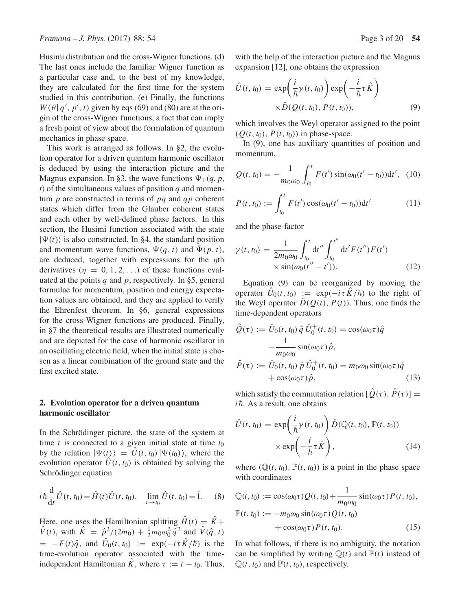Husimi distribution and the cross-Wigner functions. (d) The last ones include the familiar Wigner function as a particular case and, to the best of my knowledge, they are calculated for the first time for the system studied in this contribution. (e) Finally, the functions  $W(\theta | q', p', t)$  given by eqs (69) and (80) are at the ori-<br>gin of the cross-Wigner functions a fact that can imply gin of the cross-Wigner functions, a fact that can imply a fresh point of view about the formulation of quantum mechanics in phase space.

This work is arranged as follows. In §2, the evolution operator for a driven quantum harmonic oscillator is deduced by using the interaction picture and the Magnus expansion. In §3, the wave functions  $\Psi_{\pm}(q, p, \mathbf{r})$  $t$ ) of the simultaneous values of position  $q$  and momentum  $p$  are constructed in terms of  $pq$  and  $qp$  coherent states which differ from the Glauber coherent states and each other by well-defined phase factors. In this section, the Husimi function associated with the state  $|\Psi(t)\rangle$  is also constructed. In §4, the standard position and momentum wave functions,  $\Psi(q, t)$  and  $\Psi(p, t)$ , are deduced, together with expressions for the  $\eta$ th derivatives  $(\eta = 0, 1, 2, ...)$  of these functions evaluated at the points  $q$  and  $p$ , respectively. In §5, general formulae for momentum, position and energy expectation values are obtained, and they are applied to verify the Ehrenfest theorem. In §6, general expressions for the cross-Wigner functions are produced. Finally, in §7 the theoretical results are illustrated numerically and are depicted for the case of harmonic oscillator in an oscillating electric field, when the initial state is chosen as a linear combination of the ground state and the first excited state.

### **2. Evolution operator for a driven quantum harmonic oscillator**

In the Schrödinger picture, the state of the system at time t is connected to a given initial state at time  $t_0$ by the relation  $|\Psi(t)\rangle = \hat{U}(t, t_0)|\Psi(t_0)\rangle$ , where the evolution operator  $\hat{U}(t, t_0)$  is obtained by solving the Schrödinger equation

$$
i\hbar \frac{d}{dt}\hat{U}(t, t_0) = \hat{H}(t)\hat{U}(t, t_0), \quad \lim_{t \to t_0} \hat{U}(t, t_0) = \hat{1}.
$$
 (8)

Here, one uses the Hamiltonian splitting  $H(t) = K + \hat{V}(t)$ , with  $\hat{K} = \hat{n}^2/(2m_0) + \frac{1}{2}m_0\omega^2 \hat{\sigma}^2$  and  $\hat{V}(\hat{\sigma}, t)$  $\hat{V}(t)$ , with  $\hat{K} = \hat{p}^2/(2m_0) + \frac{1}{2}m_0\omega_0^2 \hat{q}^2$  and  $\hat{V}(\hat{q},t)$  $= -F(t)\hat{q}$ , and  $U_0(t, t_0) := \exp(-i\tau \hat{K}/\hbar)$  is the time-evolution operator associated with the timetime-evolution operator associated with the timeindependent Hamiltonian  $\hat{K}$ , where  $\tau := t - t_0$ . Thus,

with the help of the interaction picture and the Magnus expansion [12], one obtains the expression

$$
\hat{U}(t, t_0) = \exp\left(\frac{i}{\hbar}\gamma(t, t_0)\right) \exp\left(-\frac{i}{\hbar}\tau \hat{K}\right) \times \hat{D}(Q(t, t_0), P(t, t_0)),
$$
\n(9)

which involves the Weyl operator assigned to the point  $(Q(t, t_0), P(t, t_0))$  in phase-space.

In (9), one has auxiliary quantities of position and momentum,

$$
Q(t, t_0) = -\frac{1}{m_0 \omega_0} \int_{t_0}^t F(t') \sin(\omega_0 (t' - t_0)) dt', \quad (10)
$$

$$
P(t, t_0) := \int_{t_0}^t F(t') \cos(\omega_0(t' - t_0)) \mathrm{d}t' \tag{11}
$$

and the phase-factor

$$
\gamma(t, t_0) = \frac{1}{2m_0 \omega_0} \int_{t_0}^t dt'' \int_{t_0}^{t''} dt' F(t'') F(t')
$$
  
 
$$
\times \sin(\omega_0(t'' - t')). \qquad (12)
$$

Equation (9) can be reorganized by moving the operator  $\ddot{U}_0(t, t_0) := \exp(-i\tau \dot{K}/\hbar)$  to the right of<br>the Weyl operator  $\hat{D}(O(t), P(t))$ . Thus, one finds the the Weyl operator  $\hat{D}(Q(t), P(t))$ . Thus, one finds the time-dependent operators

$$
\hat{Q}(\tau) := \hat{U}_0(t, t_0) \hat{q} \hat{U}_0^+(t, t_0) = \cos(\omega_0 \tau) \hat{q} \n- \frac{1}{m_0 \omega_0} \sin(\omega_0 \tau) \hat{p}, \n\hat{P}(\tau) := \hat{U}_0(t, t_0) \hat{p} \hat{U}_0^+(t, t_0) = m_0 \omega_0 \sin(\omega_0 \tau) \hat{q} \n+ \cos(\omega_0 \tau) \hat{p},
$$
\n(13)

which satisfy the commutation relation  $[\hat{Q}(\tau), \hat{P}(\tau)] =$  $i\hbar$ . As a result, one obtains

$$
\hat{U}(t, t_0) = \exp\left(\frac{i}{\hbar}\gamma(t, t_0)\right)\hat{D}(\mathbb{Q}(t, t_0), \mathbb{P}(t, t_0))
$$
\n
$$
\times \exp\left(-\frac{i}{\hbar}\tau \hat{K}\right), \tag{14}
$$

where  $(\mathbb{Q}(t, t_0), \mathbb{P}(t, t_0))$  is a point in the phase space with coordinates

$$
\mathbb{Q}(t, t_0) := \cos(\omega_0 \tau) Q(t, t_0) + \frac{1}{m_0 \omega_0} \sin(\omega_0 \tau) P(t, t_0),
$$
  

$$
\mathbb{P}(t, t_0) := -m_0 \omega_0 \sin(\omega_0 \tau) Q(t, t_0)
$$
  

$$
+ \cos(\omega_0 \tau) P(t, t_0).
$$
 (15)

In what follows, if there is no ambiguity, the notation can be simplified by writing  $\mathbb{Q}(t)$  and  $\mathbb{P}(t)$  instead of  $\mathbb{Q}(t, t_0)$  and  $\mathbb{P}(t, t_0)$ , respectively.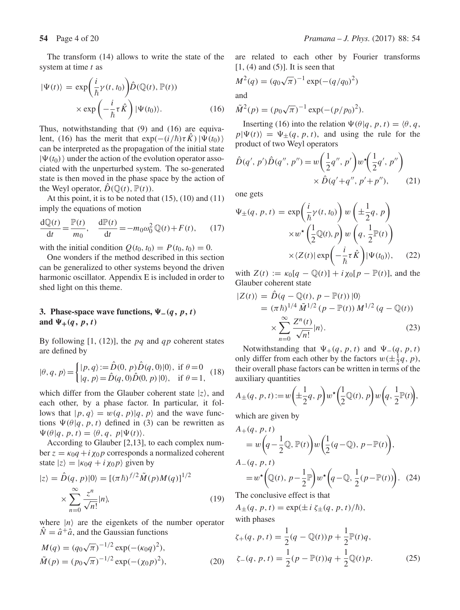The transform (14) allows to write the state of the system at time t as

$$
|\Psi(t)\rangle = \exp\left(\frac{i}{\hbar}\gamma(t,t_0)\right)\hat{D}(\mathbb{Q}(t),\mathbb{P}(t))
$$

$$
\times \exp\left(-\frac{i}{\hbar}\tau\hat{K}\right)|\Psi(t_0)\rangle.
$$
 (16)

Thus, notwithstanding that (9) and (16) are equivalent, (16) has the merit that  $exp(-(i/\hbar)\tau K)|\Psi(t_0)\rangle$ <br>can be interpreted as the propagation of the initial state can be interpreted as the propagation of the initial state  $|\Psi(t_0)\rangle$  under the action of the evolution operator associated with the unperturbed system. The so-generated state is then moved in the phase space by the action of the Weyl operator,  $\hat{D}(\mathbb{Q}(t), \mathbb{P}(t)).$ 

At this point, it is to be noted that  $(15)$ ,  $(10)$  and  $(11)$ imply the equations of motion

$$
\frac{d\mathbb{Q}(t)}{dt} = \frac{\mathbb{P}(t)}{m_0}, \quad \frac{d\mathbb{P}(t)}{dt} = -m_0\omega_0^2\mathbb{Q}(t) + F(t), \quad (17)
$$

with the initial condition  $Q(t_0, t_0) = P(t_0, t_0) = 0$ .<br>One wonders if the method described in this sect

One wonders if the method described in this section can be generalized to other systems beyond the driven harmonic oscillator. Appendix E is included in order to shed light on this theme.

# **3. Phase-space wave functions,**  $\Psi_-(q, p, t)$ and  $\Psi_+(q, p, t)$

By following [1, (12)], the  $pq$  and  $qp$  coherent states are defined by

$$
|\theta, q, p\rangle = \begin{cases} |p, q\rangle := \hat{D}(0, p)\hat{D}(q, 0)|0\rangle, \text{ if } \theta = 0\\ |q, p\rangle = \hat{D}(q, 0)\hat{D}(0, p)|0\rangle, \text{ if } \theta = 1, \end{cases}
$$
(18)

which differ from the Glauber coherent state  $|z\rangle$ , and each other, by a phase factor. In particular, it follows that  $|p, q\rangle = w(q, p)|q, p\rangle$  and the wave functions  $\Psi(\theta|q, p, t)$  defined in (3) can be rewritten as  $\Psi(\theta|q, p, t) = \langle \theta, q, p | \Psi(t) \rangle.$ 

According to Glauber [2,13], to each complex number  $z = \kappa_0 q + i \chi_0 p$  corresponds a normalized coherent state  $|z\rangle = |\kappa_0 q + i \chi_0 p \rangle$  given by

$$
|z\rangle = \hat{D}(q, p)|0\rangle = [(\pi \hbar)^{f/2} \tilde{M}(p)M(q)]^{1/2}
$$

$$
\times \sum_{n=0}^{\infty} \frac{z^n}{\sqrt{n!}} |n\rangle,
$$
(19)

where  $|n\rangle$  are the eigenkets of the number operator  $\hat{N} = \hat{a}^{\dagger} \hat{a}$ , and the Gaussian functions

$$
M(q) = (q_0\sqrt{\pi})^{-1/2} \exp(-(\kappa_0 q)^2),
$$
  
\n
$$
\tilde{M}(p) = (p_0\sqrt{\pi})^{-1/2} \exp(-(\chi_0 p)^2),
$$
\n(20)

are related to each other by Fourier transforms  $[1, (4)$  and  $(5)$ ]. It is seen that

$$
M^2(q) = (q_0\sqrt{\pi})^{-1} \exp(-(q/q_0)^2)
$$

and

$$
\tilde{M}^2(p) = (p_0\sqrt{\pi})^{-1} \exp(-(p/p_0)^2).
$$

Inserting (16) into the relation  $\Psi(\theta|q, p, t) = \langle \theta, q,$  $p|\Psi(t)\rangle = \Psi_{\pm}(q, p, t)$ , and using the rule for the product of two Weyl operators

$$
\hat{D}(q', p')\hat{D}(q'', p'') = w\left(\frac{1}{2}q'', p'\right)w^*\left(\frac{1}{2}q', p''\right) \times \hat{D}(q'+q'', p'+p''),\tag{21}
$$

one gets

$$
\Psi_{\pm}(q, p, t) = \exp\left(\frac{i}{\hbar}\gamma(t, t_0)\right)w\left(\pm\frac{1}{2}q, p\right)
$$

$$
\times w^{\star}\left(\frac{1}{2}\mathbb{Q}(t), p\right)w\left(q, \frac{1}{2}\mathbb{P}(t)\right)
$$

$$
\times \langle Z(t)| \exp\left(-\frac{i}{\hbar}\tau \hat{K}\right)|\Psi(t_0)\rangle, \quad (22)
$$

with  $Z(t) := \kappa_0[q - \mathbb{Q}(t)] + i \chi_0[p - \mathbb{P}(t)]$ , and the Glauber coherent state

$$
|Z(t)\rangle = \hat{D}(q - \mathbb{Q}(t), p - \mathbb{P}(t)) |0\rangle
$$
  
=  $(\pi \hbar)^{1/4} \tilde{M}^{1/2} (p - \mathbb{P}(t)) M^{1/2} (q - \mathbb{Q}(t))$   
 $\times \sum_{n=0}^{\infty} \frac{Z^n(t)}{\sqrt{n!}} |n\rangle.$  (23)

Notwithstanding that  $\Psi_+(q, p, t)$  and  $\Psi_-(q, p, t)$ <br>ly differ from each other by the factors  $w(\pm 1q, n)$ only differ from each other by the factors  $w(\pm \frac{1}{2}q, p)$ ,<br>their overall phase factors can be written in terms of the their overall phase factors can be written in terms of the auxiliary quantities

$$
A_{\pm}(q, p, t) := w\left(\pm \frac{1}{2}q, p\right)w^{\star}\left(\frac{1}{2}\mathbb{Q}(t), p\right)w\left(q, \frac{1}{2}\mathbb{P}(t)\right),
$$

which are given by

$$
A_{+}(q, p, t)
$$
  
=  $w\left(q - \frac{1}{2}\mathbb{Q}, \mathbb{P}(t)\right)w\left(\frac{1}{2}(q - \mathbb{Q}), p - \mathbb{P}(t)\right),$   

$$
A_{-}(q, p, t)
$$
  
=  $w^{\star}\left(\mathbb{Q}(t), p - \frac{1}{2}\mathbb{P}\right)w^{\star}\left(q - \mathbb{Q}, \frac{1}{2}(p - \mathbb{P}(t))\right).$  (24)

The conclusive effect is that

 $A_{\pm}(q, p, t) = \exp(\pm i \zeta_{\pm}(q, p, t)/\hbar),$ with phases

$$
\zeta_{+}(q, p, t) = \frac{1}{2}(q - \mathbb{Q}(t))p + \frac{1}{2}\mathbb{P}(t)q,
$$
  

$$
\zeta_{-}(q, p, t) = \frac{1}{2}(p - \mathbb{P}(t))q + \frac{1}{2}\mathbb{Q}(t)p.
$$
 (25)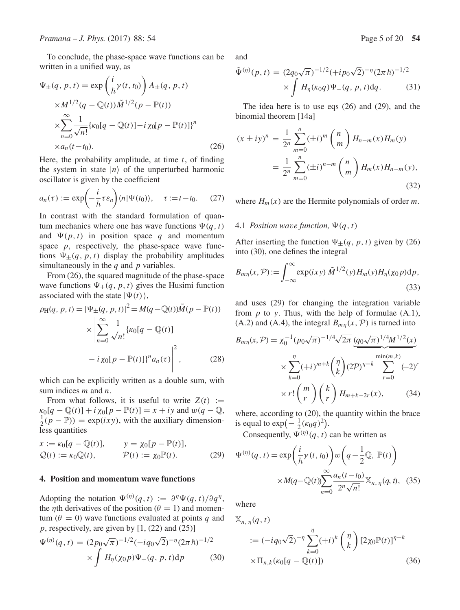To conclude, the phase-space wave functions can be written in a unified way, as

$$
\Psi_{\pm}(q, p, t) = \exp\left(\frac{i}{\hbar}\gamma(t, t_0)\right) A_{\pm}(q, p, t)
$$

$$
\times M^{1/2}(q - \mathbb{Q}(t))\tilde{M}^{1/2}(p - \mathbb{P}(t))
$$

$$
\times \sum_{n=0}^{\infty} \frac{1}{\sqrt{n!}} \{\kappa_0[q - \mathbb{Q}(t)] - i\chi(q - \mathbb{P}(t)]\}^n
$$

$$
\times a_n(t - t_0).
$$
(26)

Here, the probability amplitude, at time t, of finding<br>the system in state  $|n\rangle$  of the unperturbed harmonic the system in state  $|n\rangle$  of the unperturbed harmonic oscillator is given by the coefficient

$$
a_n(\tau) := \exp\left(-\frac{i}{\hbar}\tau\varepsilon_n\right)\langle n|\Psi(t_0)\rangle, \quad \tau := t - t_0. \tag{27}
$$

In contrast with the standard formulation of quantum mechanics where one has wave functions  $\Psi(q, t)$ and  $\Psi(p, t)$  in position space q and momentum space  $p$ , respectively, the phase-space wave functions  $\Psi_{\pm}(q, p, t)$  display the probability amplitudes simultaneously in the  $q$  and  $p$  variables.

From (26), the squared magnitude of the phase-space wave functions  $\Psi_{\pm}(q, p, t)$  gives the Husimi function associated with the state  $|\Psi(t)\rangle$ ,

$$
\rho_{H}(q, p, t) = |\Psi_{\pm}(q, p, t)|^{2} = M(q - \mathbb{Q}(t))\tilde{M}(p - \mathbb{P}(t))
$$

$$
\times \left| \sum_{n=0}^{\infty} \frac{1}{\sqrt{n!}} \{\kappa_{0}[q - \mathbb{Q}(t)] - i \chi_{0}[p - \mathbb{P}(t)]\}^{n} a_{n}(\tau) \right|^{2}, \qquad (28)
$$

which can be explicitly written as a double sum, with sum indices  $m$  and  $n$ .

From what follows, it is useful to write  $Z(t) :=$  $\kappa_0[q - \mathbb{Q}(t)] + i \chi_0[p - \mathbb{P}(t)] = x + iy$  and  $w(q - \mathbb{Q}, t)$  $\frac{1}{2}(p - \mathbb{P}) = \exp(ixy)$ , with the auxiliary dimensionless quantities

$$
x := \kappa_0[q - \mathbb{Q}(t)], \qquad y = \chi_0[p - \mathbb{P}(t)],
$$
  

$$
\mathcal{Q}(t) := \kappa_0 \mathbb{Q}(t), \qquad \mathcal{P}(t) := \chi_0 \mathbb{P}(t).
$$
 (29)

#### **4. Position and momentum wave functions**

Adopting the notation  $\Psi^{(\eta)}(q, t) := \partial^{\eta} \Psi(q, t) / \partial q^{\eta}$ , the *η*th derivatives of the position ( $\theta = 1$ ) and momentum ( $\theta = 0$ ) wave functions evaluated at points q and  $p$ , respectively, are given by [1, (22) and (25)]

$$
\Psi^{(\eta)}(q,t) = (2p_0\sqrt{\pi})^{-1/2} (-iq_0\sqrt{2})^{-\eta} (2\pi\hbar)^{-1/2}
$$

$$
\times \int H_{\eta}(\chi_0 p)\Psi_+(q,p,t)dp \qquad (30)
$$

and

$$
\tilde{\Psi}^{(\eta)}(p,t) = (2q_0\sqrt{\pi})^{-1/2} (+ip_0\sqrt{2})^{-\eta} (2\pi \hbar)^{-1/2}
$$

$$
\times \int H_{\eta}(\kappa_0 q) \Psi_{-}(q, p, t) dq. \tag{31}
$$

The idea here is to use eqs (26) and (29), and the binomial theorem [14a]

$$
(x \pm iy)^n = \frac{1}{2^n} \sum_{m=0}^n (\pm i)^m {n \choose m} H_{n-m}(x) H_m(y)
$$
  
= 
$$
\frac{1}{2^n} \sum_{m=0}^n (\pm i)^{n-m} {n \choose m} H_m(x) H_{n-m}(y),
$$
 (32)

where  $H_m(x)$  are the Hermite polynomials of order m.

#### 4.1 *Position wave function,*  $\Psi(q, t)$

After inserting the function  $\Psi_{\pm}(q, p, t)$  given by (26) into (30), one defines the integral

$$
B_{m\eta}(x,\mathcal{P}) := \int_{-\infty}^{\infty} \exp(ixy)\,\tilde{M}^{1/2}(y)H_m(y)H_\eta(x_0p)\mathrm{d}p,\tag{33}
$$

and uses (29) for changing the integration variable from  $p$  to y. Thus, with the help of formulae  $(A.1)$ , (A.2) and (A.4), the integral  $B_{mn}(x, \mathcal{P})$  is turned into

$$
B_{m\eta}(x,\mathcal{P}) = \chi_0^{-1} (p_0 \sqrt{\pi})^{-1/4} \sqrt{2\pi} \underbrace{(q_0 \sqrt{\pi})^{1/4} M^{1/2}(x)}_{k=0}
$$
  
 
$$
\times \sum_{k=0}^{\eta} (+i)^{m+k} \binom{\eta}{k} (2\mathcal{P})^{\eta-k} \sum_{r=0}^{\min(m,k)} (-2)^r
$$
  
 
$$
\times r! \binom{m}{r} \binom{k}{r} H_{m+k-2r}(x), \qquad (34)
$$

where, according to (20), the quantity within the brace is equal to  $\exp(-\frac{1}{2}(\kappa_0 q)^2)$ .<br>Consequently,  $\Pi^{(n)}(q, t)$ .

Consequently,  $\Psi^{(\eta)}(q, t)$  can be written as

$$
\Psi^{(\eta)}(q,t) = \exp\left(\frac{i}{\hbar}\gamma(t,t_0)\right)w\left(q - \frac{1}{2}\mathbb{Q}, \mathbb{P}(t)\right)
$$

$$
\times M(q - \mathbb{Q}(t))\sum_{n=0}^{\infty}\frac{a_n(t - t_0)}{2^n\sqrt{n!}}\mathbb{X}_{n, \eta}(q, t), \quad (35)
$$

where

$$
\mathbb{X}_{n,\,\eta}(q,t)
$$
  
\n
$$
:= (-iq_0\sqrt{2})^{-\eta} \sum_{k=0}^{\eta} (+i)^k \binom{\eta}{k} [2\chi_0 \mathbb{P}(t)]^{\eta-k}
$$
  
\n
$$
\times \Pi_{n,k}(\kappa_0[q - \mathbb{Q}(t)]) \tag{36}
$$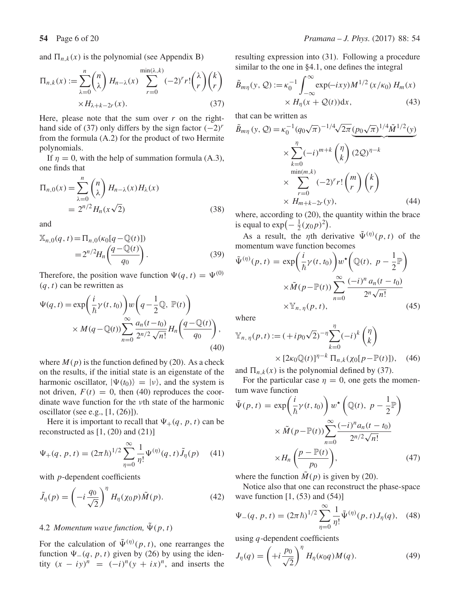and  $\Pi_{n,k}(x)$  is the polynomial (see Appendix B)

$$
\Pi_{n,k}(x) := \sum_{\lambda=0}^{n} {n \choose \lambda} H_{n-\lambda}(x) \sum_{r=0}^{\min(\lambda,k)} (-2)^r r! {(\lambda) \choose r} {k \choose r}
$$

$$
\times H_{\lambda+k-2r}(x).
$$
 (37)

Here, please note that the sum over  $r$  on the righthand side of (37) only differs by the sign factor  $(-2)^r$ from the formula (A.2) for the product of two Hermite polynomials.

If  $\eta = 0$ , with the help of summation formula (A.3), one finds that

$$
\Pi_{n,0}(x) = \sum_{\lambda=0}^{n} {n \choose \lambda} H_{n-\lambda}(x) H_{\lambda}(x)
$$

$$
= 2^{n/2} H_n(x\sqrt{2})
$$
(38)

and

$$
\mathbb{X}_{n,0}(q,t) = \Pi_{n,0}(\kappa_0[q - \mathbb{Q}(t)])
$$
  
=  $2^{n/2}H_n\left(\frac{q - \mathbb{Q}(t)}{q_0}\right)$ . (39)

Therefore, the position wave function  $\Psi(q, t) = \Psi^{(0)}$  $(q, t)$  can be rewritten as

$$
\Psi(q,t) = \exp\left(\frac{i}{\hbar}\gamma(t,t_0)\right)w\left(q - \frac{1}{2}\mathbb{Q}, \mathbb{P}(t)\right)
$$

$$
\times M(q - \mathbb{Q}(t))\sum_{n=0}^{\infty} \frac{a_n(t - t_0)}{2^{n/2}\sqrt{n!}} H_n\left(\frac{q - \mathbb{Q}(t)}{q_0}\right),
$$
(40)

where  $M(p)$  is the function defined by (20). As a check on the results, if the initial state is an eigenstate of the harmonic oscillator,  $|\Psi(t_0)\rangle = |\nu\rangle$ , and the system is not driven,  $F(t) = 0$ , then (40) reproduces the coordinate wave function for the νth state of the harmonic oscillator (see e.g., [1, (26)]).

Here it is important to recall that  $\Psi_+(q, p, t)$  can be reconstructed as  $[1, (20)$  and  $(21)]$ 

$$
\Psi_{+}(q, p, t) = (2\pi \hbar)^{1/2} \sum_{\eta=0}^{\infty} \frac{1}{\eta!} \Psi^{(\eta)}(q, t) \tilde{J}_{\eta}(p) \tag{41}
$$

with  $p$ -dependent coefficients

$$
\tilde{J}_{\eta}(p) = \left(-i\frac{q_0}{\sqrt{2}}\right)^{\eta} H_{\eta}(\chi_0 p)\tilde{M}(p). \tag{42}
$$

# 4.2 *Momentum wave function*,  $\tilde{\Psi}(p, t)$

For the calculation of  $\tilde{\Psi}^{(\eta)}(p, t)$ , one rearranges the function  $\Psi_{-}(q, p, t)$  given by (26) by using the identity  $(x - iy)^n = (-i)^n (y + ix)^n$ , and inserts the resulting expression into (31). Following a procedure similar to the one in §4.1, one defines the integral

$$
\tilde{B}_{m\eta}(y, Q) := \kappa_0^{-1} \int_{-\infty}^{\infty} \exp(-ixy) M^{1/2} (x/\kappa_0) H_m(x)
$$
  
 
$$
\times H_\eta(x + Q(t)) dx,
$$
 (43)

that can be written as

$$
\tilde{B}_{m\eta}(y, Q) = \kappa_0^{-1} (q_0 \sqrt{\pi})^{-1/4} \sqrt{2\pi} \underbrace{(p_0 \sqrt{\pi})^{1/4} \tilde{M}^{1/2}(y)}_{\times \sum_{r=0}^{\eta} (-i)^{m+k}} \times \underbrace{\binom{\eta}{k} (2Q)^{\eta-k}}_{\times H_{m+k-2r}(y),}
$$
\n(44)

where, according to (20), the quantity within the brace is equal to  $\exp(-\frac{1}{2}(\chi_0 p)^2)$ .

As a result, the *n*<sup>th</sup> derivative  $\tilde{\Psi}^{(\eta)}(p, t)$  of the momentum wave function becomes

$$
\tilde{\Psi}^{(\eta)}(p,t) = \exp\left(\frac{i}{\hbar}\gamma(t,t_0)\right)w^*\left(\mathbb{Q}(t),\ p-\frac{1}{2}\mathbb{P}\right)
$$
\n
$$
\times \tilde{M}(p-\mathbb{P}(t))\sum_{n=0}^{\infty}\frac{(-i)^n a_n(t-t_0)}{2^n\sqrt{n!}}
$$
\n
$$
\times \mathbb{Y}_{n,\eta}(p,t), \qquad (45)
$$

where

$$
\mathbb{Y}_{n,\,\eta}(p,t) := (+ip_0\sqrt{2})^{-\eta} \sum_{k=0}^{\eta} (-i)^k \binom{\eta}{k}
$$

$$
\times [2\kappa_0 \mathbb{Q}(t)]^{\eta-k} \, \Pi_{n,k}(\chi_0[p-\mathbb{P}(t)]), \quad (46)
$$

and  $\Pi_{n,k}(x)$  is the polynomial defined by (37).<br>For the particular case  $n = 0$  one gets the i

For the particular case  $\eta = 0$ , one gets the momentum wave function

$$
\tilde{\Psi}(p, t) = \exp\left(\frac{i}{\hbar}\gamma(t, t_0)\right)w^*\left(\mathbb{Q}(t), p - \frac{1}{2}\mathbb{P}\right)
$$
\n
$$
\times \tilde{M}(p - \mathbb{P}(t))\sum_{n=0}^{\infty} \frac{(-i)^n a_n(t - t_0)}{2^{n/2}\sqrt{n!}}
$$
\n
$$
\times H_n\left(\frac{p - \mathbb{P}(t)}{p_0}\right), \tag{47}
$$

where the function  $M(p)$  is given by (20).<br>Notice also that one can reconstruct the

Notice also that one can reconstruct the phase-space wave function  $[1, (53)$  and  $(54)]$ 

$$
\Psi_{-}(q, p, t) = (2\pi \hbar)^{1/2} \sum_{\eta=0}^{\infty} \frac{1}{\eta!} \tilde{\Psi}^{(\eta)}(p, t) J_{\eta}(q), \quad (48)
$$

using  $q$ -dependent coefficients

$$
J_{\eta}(q) = \left(+i\frac{p_0}{\sqrt{2}}\right)^{\eta} H_{\eta}(\kappa_0 q) M(q). \tag{49}
$$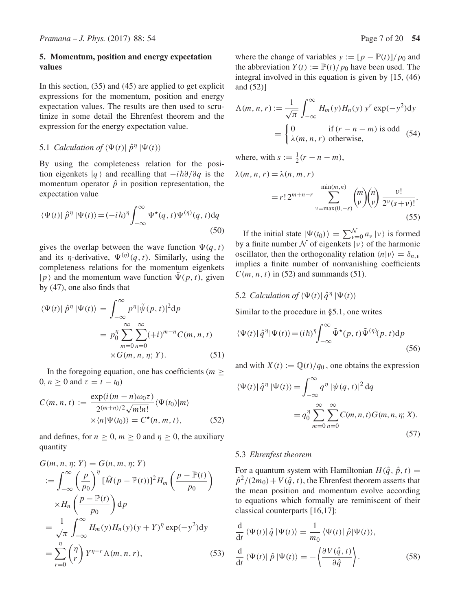### **5. Momentum, position and energy expectation values**

In this section, (35) and (45) are applied to get explicit expressions for the momentum, position and energy expectation values. The results are then used to scrutinize in some detail the Ehrenfest theorem and the expression for the energy expectation value.

# 5.1 *Calculation of*  $\langle \Psi(t) | \hat{p}^{\eta} | \Psi(t) \rangle$

By using the completeness relation for the position eigenkets  $|q\rangle$  and recalling that  $-i\hbar\partial/\partial q$  is the momentum operator  $\hat{\rho}$  in position representation, the momentum operator  $\hat{p}$  in position representation, the expectation value

$$
\langle \Psi(t) | \hat{p}^{\eta} | \Psi(t) \rangle = (-i\hbar)^{\eta} \int_{-\infty}^{\infty} \Psi^{\star}(q, t) \Psi^{(\eta)}(q, t) dq
$$
\n(50)

gives the overlap between the wave function  $\Psi(q, t)$ and its *η*-derivative,  $\Psi^{(\eta)}(q, t)$ . Similarly, using the completeness relations for the momentum eigenkets  $|p\rangle$  and the momentum wave function  $\tilde{\Psi}(p, t)$ , given by (47), one also finds that

$$
\langle \Psi(t) | \hat{p}^{\eta} | \Psi(t) \rangle = \int_{-\infty}^{\infty} p^{\eta} | \tilde{\psi}(p, t) |^{2} dp
$$

$$
= p_0^{\eta} \sum_{m=0}^{\infty} \sum_{n=0}^{\infty} (+i)^{m-n} C(m, n, t)
$$

$$
\times G(m, n, \eta; Y). \tag{51}
$$

In the foregoing equation, one has coefficients ( $m \geq$  $0, n \geq 0$  and  $\tau = t - t_0$ )

$$
C(m, n, t) := \frac{\exp(i(m - n)\omega_0\tau)}{2^{(m+n)/2}\sqrt{m!n!}} \langle \Psi(t_0)|m \rangle
$$
  
 
$$
\times \langle n|\Psi(t_0) \rangle = C^*(n, m, t), \qquad (52)
$$

and defines, for  $n \geq 0$ ,  $m \geq 0$  and  $\eta \geq 0$ , the auxiliary quantity

$$
G(m, n, \eta; Y) = G(n, m, \eta; Y)
$$
  
\n
$$
:= \int_{-\infty}^{\infty} \left(\frac{p}{p_0}\right)^{\eta} \left[\tilde{M}(p - \mathbb{P}(t))\right]^2 H_m\left(\frac{p - \mathbb{P}(t)}{p_0}\right)
$$
  
\n
$$
\times H_n\left(\frac{p - \mathbb{P}(t)}{p_0}\right) dp
$$
  
\n
$$
= \frac{1}{\sqrt{\pi}} \int_{-\infty}^{\infty} H_m(y) H_n(y) (y + Y)^{\eta} \exp(-y^2) dy
$$
  
\n
$$
= \sum_{r=0}^{\eta} {n \choose r} Y^{\eta-r} \Lambda(m, n, r), \qquad (53)
$$

where the change of variables  $y := [p - \mathbb{P}(t)]/p_0$  and the abbreviation  $Y(t) := \mathbb{P}(t)/p_0$  have been used. The integral involved in this equation is given by [15, (46) and (52)]

$$
\Lambda(m, n, r) := \frac{1}{\sqrt{\pi}} \int_{-\infty}^{\infty} H_m(y) H_n(y) y^r \exp(-y^2) dy
$$

$$
= \begin{cases} 0 & \text{if } (r - n - m) \text{ is odd} \\ \lambda(m, n, r) & \text{otherwise,} \end{cases}
$$
(54)

where, with  $s := \frac{1}{2}(r - n - m)$ ,

$$
\lambda(m, n, r) = \lambda(n, m, r)
$$
min(m n)

$$
= r! 2^{m+n-r} \sum_{\nu = \max(0,-s)}^{\min(m,n)} {m \choose \nu} {n \choose \nu} \frac{\nu!}{2^{\nu}(s+\nu)!}.
$$
\n(55)

If the initial state  $|\Psi(t_0)\rangle = \sum_{\nu=0}^{N} a_{\nu} |\nu\rangle$  is formed a finite number  $N$  of eigenkets  $|\nu\rangle$  of the harmonic by a finite number  $N$  of eigenkets  $|v\rangle$  of the harmonic oscillator, then the orthogonality relation  $\langle n|v \rangle = \delta_{n,v}$ implies a finite number of nonvanishing coefficients  $C(m, n, t)$  in (52) and summands (51).

5.2 *Calculation of*  $\langle \Psi(t) | \hat{q}^{\eta} | \Psi(t) \rangle$ 

Similar to the procedure in §5.1, one writes

$$
\langle \Psi(t) | \hat{q}^{\eta} | \Psi(t) \rangle = (i\hbar)^{\eta} \int_{-\infty}^{\infty} \tilde{\Psi}^{\star}(p, t) \tilde{\Psi}^{(\eta)}(p, t) dp
$$
\n(56)

and with  $X(t) := \mathbb{Q}(t)/q_0$ , one obtains the expression

$$
\langle \Psi(t) | \hat{q}^{\eta} | \Psi(t) \rangle = \int_{-\infty}^{\infty} q^{\eta} | \psi(q, t) |^{2} dq
$$

$$
= q_{0}^{\eta} \sum_{m=0}^{\infty} \sum_{n=0}^{\infty} C(m, n, t) G(m, n, \eta; X). \tag{57}
$$

#### 5.3 *Ehrenfest theorem*

For a quantum system with Hamiltonian  $H(\hat{q}, \hat{p}, t) =$  $\hat{p}^2/(2m_0)+V(\hat{q},t)$ , the Ehrenfest theorem asserts that the mean position and momentum evolve according to equations which formally are reminiscent of their classical counterparts [16,17]:

$$
\frac{\mathrm{d}}{\mathrm{d}t} \langle \Psi(t) | \hat{q} | \Psi(t) \rangle = \frac{1}{m_0} \langle \Psi(t) | \hat{p} | \Psi(t) \rangle,
$$
\n
$$
\frac{\mathrm{d}}{\mathrm{d}t} \langle \Psi(t) | \hat{p} | \Psi(t) \rangle = -\left\langle \frac{\partial V(\hat{q}, t)}{\partial \hat{q}} \right\rangle. \tag{58}
$$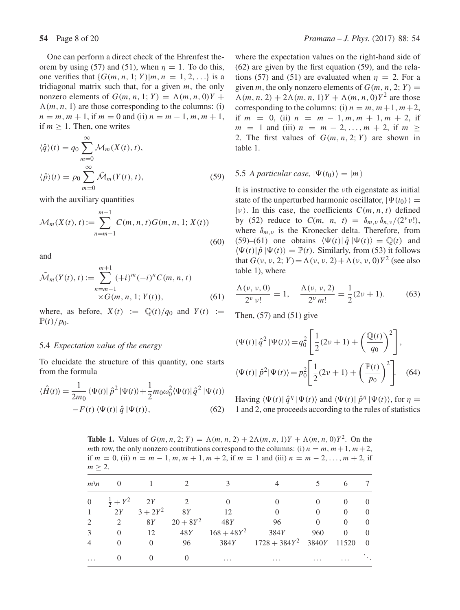One can perform a direct check of the Ehrenfest theorem by using (57) and (51), when  $\eta = 1$ . To do this, one verifies that  $\{G(m, n, 1; Y)|m, n = 1, 2, ...\}$  is a tridiagonal matrix such that, for a given  $m$ , the only nonzero elements of  $G(m, n, 1; Y) = \Lambda(m, n, 0)Y +$  $\Lambda(m, n, 1)$  are those corresponding to the columns: (i)  $n = m, m + 1$ , if  $m = 0$  and (ii)  $n = m - 1, m, m + 1$ , if  $m > 1$ . Then, one writes

$$
\langle \hat{q} \rangle(t) = q_0 \sum_{m=0}^{\infty} \mathcal{M}_m(X(t), t),
$$
  

$$
\langle \hat{p} \rangle(t) = p_0 \sum_{m=0}^{\infty} \tilde{\mathcal{M}}_m(Y(t), t),
$$
 (59)

with the auxiliary quantities

$$
\mathcal{M}_m(X(t), t) := \sum_{n=m-1}^{m+1} C(m, n, t) G(m, n, 1; X(t))
$$
\n(60)

and

$$
\tilde{\mathcal{M}}_m(Y(t), t) := \sum_{n=m-1}^{m+1} (+i)^m (-i)^n C(m, n, t) \times G(m, n, 1; Y(t)),
$$
\n(61)

where, as before,  $X(t) := \mathbb{Q}(t)/q_0$  and  $Y(t) :=$  $\mathbb{P}(t)/p_0$ .

#### 5.4 *Expectation* v*alue of the energy*

To elucidate the structure of this quantity, one starts from the formula

$$
\langle \hat{H}(t) \rangle = \frac{1}{2m_0} \langle \Psi(t) | \hat{p}^2 | \Psi(t) \rangle + \frac{1}{2} m_0 \omega_0^2 \langle \Psi(t) | \hat{q}^2 | \Psi(t) \rangle -F(t) \langle \Psi(t) | \hat{q} | \Psi(t) \rangle,
$$
(62)

where the expectation values on the right-hand side of (62) are given by the first equation (59), and the relations (57) and (51) are evaluated when  $\eta = 2$ . For a given m, the only nonzero elements of  $G(m, n, 2; Y) =$  $\Lambda(m, n, 2) + 2\Lambda(m, n, 1)Y + \Lambda(m, n, 0)Y^2$  are those corresponding to the columns: (i)  $n = m, m+1, m+2$ , if  $m = 0$ , (ii)  $n = m - 1, m, m + 1, m + 2$ , if  $m = 1$  and (iii)  $n = m - 2, ..., m + 2$ , if  $m >$ 2. The first values of  $G(m, n, 2; Y)$  are shown in table 1.

### 5.5 *A particular case*,  $|\Psi(t_0)\rangle = |m\rangle$

It is instructive to consider the νth eigenstate as initial state of the unperturbed harmonic oscillator,  $|\Psi(t_0)\rangle$  =  $|v\rangle$ . In this case, the coefficients  $C(m, n, t)$  defined by (52) reduce to  $C(m, n, t) = \delta_{m,\nu} \delta_{n,\nu} / (2^{\nu} \nu!)$ , where  $\delta_{m,\nu}$  is the Kronecker delta. Therefore, from (59)–(61) one obtains  $\langle \Psi(t) | \hat{q} | \Psi(t) \rangle = \mathbb{Q}(t)$  and  $\langle \Psi(t) | \hat{\rho} | \Psi(t) \rangle = \mathbb{P}(t)$ . Similarly, from (53) it follows that  $G(v, v, 2; Y) = \Lambda(v, v, 2) + \Lambda(v, v, 0)Y^2$  (see also table 1), where

$$
\frac{\Lambda(\nu, \nu, 0)}{2^{\nu} \nu!} = 1, \quad \frac{\Lambda(\nu, \nu, 2)}{2^{\nu} m!} = \frac{1}{2} (2\nu + 1). \tag{63}
$$

Then,  $(57)$  and  $(51)$  give

$$
\langle \Psi(t) | \hat{q}^2 | \Psi(t) \rangle = q_0^2 \left[ \frac{1}{2} (2\nu + 1) + \left( \frac{\mathbb{Q}(t)}{q_0} \right)^2 \right],
$$
  

$$
\langle \Psi(t) | \hat{p}^2 | \Psi(t) \rangle = p_0^2 \left[ \frac{1}{2} (2\nu + 1) + \left( \frac{\mathbb{P}(t)}{p_0} \right)^2 \right].
$$
 (64)

Having  $\langle \Psi(t) | \hat{q}^{\eta} | \Psi(t) \rangle$  and  $\langle \Psi(t) | \hat{p}^{\eta} | \Psi(t) \rangle$ , for  $\eta =$ 1 and 2, one proceeds according to the rules of statistics

**Table 1.** Values of  $G(m, n, 2; Y) = \Lambda(m, n, 2) + 2\Lambda(m, n, 1)Y + \Lambda(m, n, 0)Y^2$ . On the mth row, the only nonzero contributions correspond to the columns: (i)  $n = m, m+1, m+2$ , if  $m = 0$ , (ii)  $n = m - 1, m, m + 1, m + 2$ , if  $m = 1$  and (iii)  $n = m - 2, ..., m + 2$ , if  $m \geq 2$ .

| $m \setminus n$ |                        |            |                |               |                 |          |          |                |
|-----------------|------------------------|------------|----------------|---------------|-----------------|----------|----------|----------------|
| $\overline{0}$  | $\frac{1}{2} + Y^2$ 2Y |            | $\overline{2}$ |               |                 |          | $\theta$ | $\theta$       |
|                 | 2Y                     | $3 + 2Y^2$ | 8Y             | -12           | $\Omega$        | $\Omega$ | $\theta$ | $\overline{0}$ |
|                 | 2                      | 8Y         | $20 + 8Y^2$    | 48Y           | 96              | $\Omega$ | $\Omega$ | $\Omega$       |
|                 | $\Omega$               | 12         | 48Y            | $168 + 48Y^2$ | 384Y            | 960      | $\Omega$ | $\Omega$       |
|                 | $\left( \right)$       | $\Omega$   | 96             | 384Y          | $1728 + 384Y^2$ | 3840Y    | 11520    | $\overline{0}$ |
| $\cdots$        |                        |            |                | $\cdots$      | $\cdots$        | .        | $\cdots$ |                |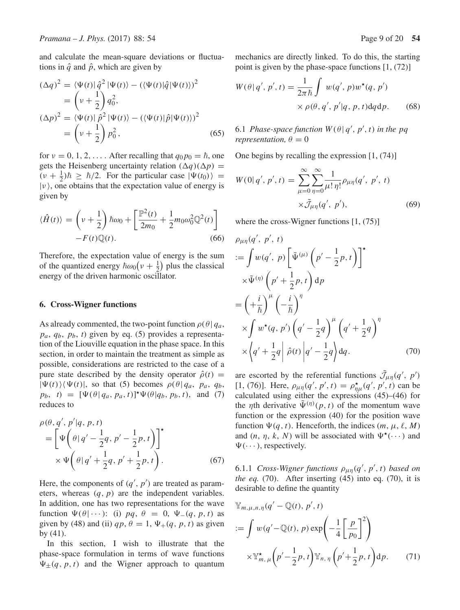and calculate the mean-square deviations or fluctuations in  $\hat{q}$  and  $\hat{p}$ , which are given by

$$
(\Delta q)^2 = \langle \Psi(t) | \hat{q}^2 | \Psi(t) \rangle - (\langle \Psi(t) | \hat{q} | \Psi(t) \rangle)^2
$$
  
\n
$$
= \left(\nu + \frac{1}{2}\right) q_0^2,
$$
  
\n
$$
(\Delta p)^2 = \langle \Psi(t) | \hat{p}^2 | \Psi(t) \rangle - (\langle \Psi(t) | \hat{p} | \Psi(t) \rangle)^2
$$
  
\n
$$
= \left(\nu + \frac{1}{2}\right) p_0^2,
$$
\n(65)

for  $v = 0, 1, 2, \dots$ . After recalling that  $q_0 p_0 = \hbar$ , one<br>gets the Heisenberg uncertainty relation  $(\Delta a)(\Delta n)$ gets the Heisenberg uncertainty relation  $(\Delta q)(\Delta p)$  =  $(v + \frac{1}{2})\hbar \ge \hbar/2$ . For the particular case  $|\Psi(t_0)\rangle =$ <br> $|v\rangle$  one obtains that the expectation value of energy is  $|v\rangle$ , one obtains that the expectation value of energy is given by

$$
\langle \hat{H}(t) \rangle = \left( v + \frac{1}{2} \right) \hbar \omega_0 + \left[ \frac{\mathbb{P}^2(t)}{2m_0} + \frac{1}{2} m_0 \omega_0^2 \mathbb{Q}^2(t) \right] - F(t) \mathbb{Q}(t).
$$
\n(66)

Therefore, the expectation value of energy is the sum of the quantized energy  $\hbar \omega_0 (v + \frac{1}{2})$  plus the classical<br>energy of the driven harmonic oscillator or the quantized energy  $n\omega_0(\nu + \frac{1}{2})$  plus<br>energy of the driven harmonic oscillator.

#### **6. Cross-Wigner functions**

As already commented, the two-point function  $\rho(\theta | q_a)$ ,  $p_a, q_b, p_b, t$ ) given by eq. (5) provides a representation of the Liouville equation in the phase space. In this section, in order to maintain the treatment as simple as possible, considerations are restricted to the case of a pure state described by the density operator  $\hat{\rho}(t)$  =  $|\Psi(t)\rangle\langle\Psi(t)|$ , so that (5) becomes  $\rho(\theta|q_a, p_a, q_b)$ ,  $p_b$ ,  $t$ ) =  $[\Psi(\theta | q_a, p_a, t)]^* \Psi(\theta | q_b, p_b, t)$ , and (7) reduces to

$$
\rho(\theta, q', p'|q, p, t) = \left[ \Psi \left( \theta | q' - \frac{1}{2} q, p' - \frac{1}{2} p, t \right) \right]^{\star} \times \Psi \left( \theta | q' + \frac{1}{2} q, p' + \frac{1}{2} p, t \right). \tag{67}
$$

Here, the components of  $(q', p')$  are treated as parameters whereas  $(a, n)$  are the independent variables eters, whereas  $(q, p)$  are the independent variables. In addition, one has two representations for the wave function  $\Psi(\theta | \cdots)$ : (i) pq,  $\theta = 0$ ,  $\Psi(\qquad q, p, t)$  as given by (48) and (ii)  $qp, \theta = 1, \Psi_+(q, p, t)$  as given by (41).

In this section, I wish to illustrate that the phase-space formulation in terms of wave functions  $\Psi_{\pm}(q, p, t)$  and the Wigner approach to quantum mechanics are directly linked. To do this, the starting point is given by the phase-space functions [1, (72)]

$$
W(\theta | q', p', t) = \frac{1}{2\pi\hbar} \int w(q', p) w^*(q, p')
$$

$$
\times \rho(\theta, q', p'|q, p, t) dq dp. \quad (68)
$$

6.1 *Phase-space function*  $W(\theta | q', p', t)$  *in the pq*<br>representation  $\theta = 0$ *representation,*  $\theta = 0$ 

One begins by recalling the expression [1, (74)]

$$
W(0|q', p', t) = \sum_{\mu=0}^{\infty} \sum_{\eta=0}^{\infty} \frac{1}{\mu! \eta!} \rho_{\mu\eta}(q', p', t)
$$

$$
\times \tilde{\mathcal{J}}_{\mu\eta}(q', p'), \qquad (69)
$$

where the cross-Wigner functions [1, (75)]

$$
\rho_{\mu\eta}(q', p', t)
$$
\n
$$
:= \int w(q', p) \left[ \tilde{\Psi}^{(\mu)} \left( p' - \frac{1}{2} p, t \right) \right]^{*}
$$
\n
$$
\times \tilde{\Psi}^{(\eta)} \left( p' + \frac{1}{2} p, t \right) dp
$$
\n
$$
= \left( + \frac{i}{\hbar} \right)^{\mu} \left( - \frac{i}{\hbar} \right)^{\eta}
$$
\n
$$
\times \int w^{*}(q, p') \left( q' - \frac{1}{2} q \right)^{\mu} \left( q' + \frac{1}{2} q \right)^{\eta}
$$
\n
$$
\times \left( q' + \frac{1}{2} q \right) \hat{\rho}(t) \left| q' - \frac{1}{2} q \right> dq. \tag{70}
$$

are escorted by the referential functions  $\mathcal{J}_{\mu\eta}(q', p')$ <br>
[1. (76)] Here  $\rho_{\mu}(q', p', t) = \rho^*_{\mu}(q', p', t)$  can b [1, (76)]. Here,  $\rho_{\mu\eta}(q', p', t) = \rho_{\eta\mu}^{\star}(q', p', t)$  can be calculated using either the expressions (45)–(46) for calculated using either the expressions (45)–(46) for the *n*th derivative  $\tilde{\Psi}^{(\eta)}(p, t)$  of the momentum wave function or the expression (40) for the position wave function  $\Psi(q, t)$ . Henceforth, the indices  $(m, \mu, \ell, M)$ and  $(n, \eta, k, N)$  will be associated with  $\Psi^*(\cdots)$  and  $\Psi(\cdots)$ , respectively.

6.1.1 *Cross-Wigner functions*  $\rho_{\mu\eta}(q', p', t)$  based on<br>the eq. (70) After inserting (45) into eq. (70) it is *the eq.* (70). After inserting (45) into eq. (70), it is desirable to define the quantity

$$
\mathbb{Y}_{m,\mu,n,\eta}(q'-\mathbb{Q}(t),p',t)
$$
  

$$
:= \int w(q'-\mathbb{Q}(t),p) \exp\left(-\frac{1}{4}\left[\frac{p}{p_0}\right]^2\right)
$$
  

$$
\times \mathbb{Y}_{m,\mu}^{\star}\left(p'-\frac{1}{2}p,t\right) \mathbb{Y}_{n,\eta}\left(p'+\frac{1}{2}p,t\right) \mathrm{d}p. \tag{71}
$$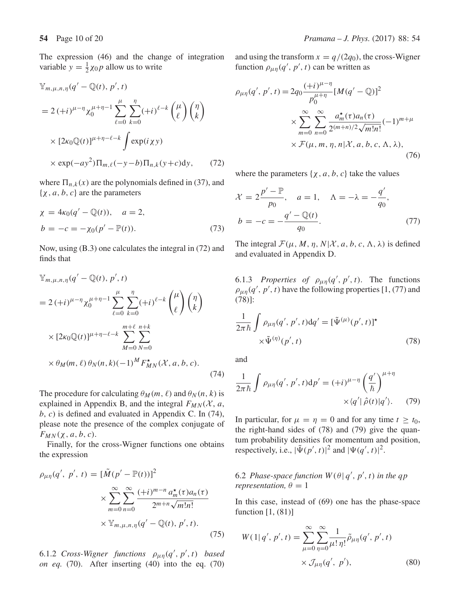The expression (46) and the change of integration variable  $y = \frac{1}{2}\chi_0 p$  allow us to write

$$
\mathbb{Y}_{m,\mu,n,\eta}(q'-\mathbb{Q}(t),p',t)
$$
\n
$$
= 2(+i)^{\mu-\eta}\chi_0^{\mu+\eta-1}\sum_{\ell=0}^{\mu}\sum_{k=0}^{\eta}(+i)^{\ell-k}\binom{\mu}{\ell}\binom{\eta}{k}
$$
\n
$$
\times [2\kappa_0\mathbb{Q}(t)]^{\mu+\eta-\ell-k}\int \exp(i\chi y)
$$
\n
$$
\times \exp(-ay^2)\Pi_{m,\ell}(-y-b)\Pi_{n,k}(y+c)dy,\qquad(72)
$$

where  $\Pi_{n,k}(x)$  are the polynomials defined in (37), and  $\{\chi, a, b, c\}$  are the parameters

$$
\chi = 4\kappa_0(q' - \mathbb{Q}(t)), \quad a = 2,
$$
  
\n
$$
b = -c = -\chi_0(p' - \mathbb{P}(t)).
$$
\n(73)

Now, using (B.3) one calculates the integral in (72) and finds that

$$
\mathbb{Y}_{m,\mu,n,\eta}(q' - \mathbb{Q}(t), p', t) \n= 2 (+i)^{\mu-\eta} \chi_0^{\mu+\eta-1} \sum_{\ell=0}^{\mu} \sum_{k=0}^{\eta} (+i)^{\ell-k} {\mu \choose \ell} {\eta \choose k} \n\times [2\kappa_0 \mathbb{Q}(t)]^{\mu+\eta-\ell-k} \sum_{M=0}^{m+\ell} \sum_{N=0}^{n+k} \n\times \theta_M(m, \ell) \theta_N(n, k) (-1)^M F_{MN}^{\star}(\mathcal{X}, a, b, c).
$$
\n(74)

The procedure for calculating  $\theta_M(m, \ell)$  and  $\theta_N(n, k)$  is explained in Appendix B, and the integral  $F_{MN}(X, a, \mathbf{z})$  $b, c$ ) is defined and evaluated in Appendix C. In (74), please note the presence of the complex conjugate of  $F_{MN}(\chi, a, b, c)$ .

Finally, for the cross-Wigner functions one obtains the expression

$$
\rho_{\mu\eta}(q', p', t) = [\tilde{M}(p' - \mathbb{P}(t))]^2
$$
  
 
$$
\times \sum_{m=0}^{\infty} \sum_{n=0}^{\infty} \frac{(+i)^{m-n} a_m^{\star}(\tau) a_n(\tau)}{2^{m+n} \sqrt{m! n!}}
$$
  
 
$$
\times \mathbb{Y}_{m, \mu, n, \eta}(q' - \mathbb{Q}(t), p', t).
$$
 (75)

6.1.2 *Cross-Wigner functions*  $\rho_{\mu\eta}(q', p', t)$  *based*<br>*on eq.* (70) After inserting (40) into the eq. (70) *on eq.* (70). After inserting (40) into the eq. (70) and using the transform  $x = q/(2q_0)$ , the cross-Wigner function  $\rho_{\mu\eta}(q', p', t)$  can be written as

$$
\rho_{\mu\eta}(q', p', t) = 2q_0 \frac{(+i)^{\mu-\eta}}{p_0^{\mu+\eta}} [M(q' - \mathbb{Q})]^2
$$
  
 
$$
\times \sum_{m=0}^{\infty} \sum_{n=0}^{\infty} \frac{a_m^{\star}(\tau) a_n(\tau)}{2^{(m+n)/2} \sqrt{m! n!}} (-1)^{m+\mu}
$$
  
 
$$
\times \mathcal{F}(\mu, m, \eta, n | \mathcal{X}, a, b, c, \Lambda, \lambda),
$$
(76)

where the parameters  $\{x, a, b, c\}$  take the values

$$
\mathcal{X} = 2 \frac{p' - P}{p_0}, \quad a = 1, \quad \Lambda = -\lambda = -\frac{q'}{q_0}, b = -c = -\frac{q' - Q(t)}{q_0}.
$$
 (77)

The integral  $\mathcal{F}(\mu, M, \eta, N | \mathcal{X}, a, b, c, \Lambda, \lambda)$  is defined and evaluated in Appendix D.

6.1.3 *Properties of*  $\rho_{\mu\eta}(q', p', t)$ . The functions<br>  $\rho_{\mu}(q', p', t)$  have the following properties [1 (77) and  $\rho_{\mu\eta}(q', p', t)$  have the following properties [1, (77) and (78)]. (78)]:

$$
\frac{1}{2\pi\hbar} \int \rho_{\mu\eta}(q',p',t) dq' = [\tilde{\Psi}^{(\mu)}(p',t)]^{\star}
$$

$$
\times \tilde{\Psi}^{(\eta)}(p',t)
$$
(78)

and

$$
\frac{1}{2\pi\hbar} \int \rho_{\mu\eta}(q', p', t) dp' = (+i)^{\mu-\eta} \left(\frac{q'}{\hbar}\right)^{\mu+\eta} \times \langle q' | \hat{\rho}(t) | q' \rangle. \tag{79}
$$

In particular, for  $\mu = \eta = 0$  and for any time  $t \geq t_0$ , the right-hand sides of (78) and (79) give the quantum probability densities for momentum and position, respectively, i.e.,  $|\tilde{\Psi}(p', t)|^2$  and  $|\Psi(q', t)|^2$ .

6.2 *Phase-space function*  $W(\theta | q', p', t)$  *in the qp* representation  $\theta = 1$ *representation,*  $\theta = 1$ 

In this case, instead of (69) one has the phase-space function [1, (81)]

$$
W(1|q', p', t) = \sum_{\mu=0}^{\infty} \sum_{\eta=0}^{\infty} \frac{1}{\mu! \eta!} \tilde{\rho}_{\mu\eta}(q', p', t)
$$
  
 
$$
\times \mathcal{J}_{\mu\eta}(q', p'), \qquad (80)
$$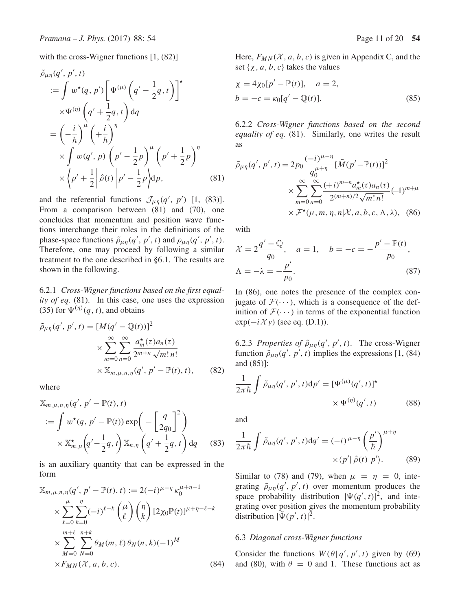with the cross-Wigner functions [1, (82)]

$$
\tilde{\rho}_{\mu\eta}(q', p', t) \n:= \int w^*(q, p') \left[ \Psi^{(\mu)} \left( q' - \frac{1}{2} q, t \right) \right]^* \n\times \Psi^{(\eta)} \left( q' + \frac{1}{2} q, t \right) dq \n= \left( -\frac{i}{\hbar} \right)^{\mu} \left( +\frac{i}{\hbar} \right)^{\eta} \n\times \int w(q', p) \left( p' - \frac{1}{2} p \right)^{\mu} \left( p' + \frac{1}{2} p \right)^{\eta} \n\times \left\langle p' + \frac{1}{2} \right| \hat{\rho}(t) \left| p' - \frac{1}{2} p \right\rangle dp,
$$
\n(81)

and the referential functions  $\mathcal{J}_{\mu\eta}(q', p')$  [1, (83)].<br>From a comparison between (81) and (70) one From a comparison between (81) and (70), one concludes that momentum and position wave functions interchange their roles in the definitions of the phase-space functions  $\tilde{\rho}_{\mu\eta}(q', p', t)$  and  $\rho_{\mu\eta}(q', p', t)$ .<br>Therefore, one may proceed by following a similar Therefore, one may proceed by following a similar treatment to the one described in §6.1. The results are shown in the following.

6.2.1 *Cross-Wigner functions based on the first equality of eq.* (81). In this case, one uses the expression (35) for  $\Psi^{(\eta)}(q, t)$ , and obtains

$$
\tilde{\rho}_{\mu\eta}(q',p',t) = [M(q'-\mathbb{Q}(t))]^2
$$

$$
\times \sum_{m=0}^{\infty} \sum_{n=0}^{\infty} \frac{a_m^{\star}(\tau)a_n(\tau)}{2^{m+n}\sqrt{m!n!}}
$$

$$
\times \mathbb{X}_{m,\mu,n,\eta}(q',p'-\mathbb{P}(t),t), \qquad (82)
$$

where

$$
\mathbb{X}_{m,\mu,n,\eta}(q',p'-\mathbb{P}(t),t)
$$
  

$$
:= \int w^*(q,p'-\mathbb{P}(t)) \exp\left(-\left[\frac{q}{2q_0}\right]^2\right)
$$
  

$$
\times \mathbb{X}_{m,\mu}^{\star}\left(q'-\frac{1}{2}q,t\right) \mathbb{X}_{n,\eta}\left(q'+\frac{1}{2}q,t\right) dq \qquad (83)
$$

is an auxiliary quantity that can be expressed in the form

$$
\mathbb{X}_{m,\mu,n,\eta}(q',p'-\mathbb{P}(t),t) := 2(-i)^{\mu-\eta} \kappa_0^{\mu+\eta-1} \times \sum_{\ell=0}^{\mu} \sum_{k=0}^{\eta} (-i)^{\ell-k} {\mu \choose \ell} {\eta \choose k} [2 \chi_0 \mathbb{P}(t)]^{\mu+\eta-\ell-k} \times \sum_{M=0}^{m+\ell} \sum_{N=0}^{n+k} \theta_M(m,\ell) \theta_N(n,k) (-1)^M \times F_{MN}(\mathcal{X},a,b,c).
$$
\n(84)

Here,  $F_{MN}(\mathcal{X}, a, b, c)$  is given in Appendix C, and the set { $\chi$ , a, b, c} takes the values

$$
\chi = 4\chi_0[p' - \mathbb{P}(t)], \quad a = 2,
$$
  
\n
$$
b = -c = \kappa_0[q' - \mathbb{Q}(t)].
$$
\n(85)

6.2.2 *Cross-Wigner functions based on the second equality of eq.* (81). Similarly, one writes the result as

$$
\tilde{\rho}_{\mu\eta}(q', p', t) = 2p_0 \frac{(-i)^{\mu - \eta}}{q_0^{\mu + \eta}} [\tilde{M}(p' - \mathbb{P}(t))]^2
$$
  
 
$$
\times \sum_{m=0}^{\infty} \sum_{n=0}^{\infty} \frac{(+i)^{m-n} a_m^{\star}(\tau) a_n(\tau)}{2^{(m+n)/2} \sqrt{m! n!}} (-1)^{m+\mu}
$$
  
 
$$
\times \mathcal{F}^{\star}(\mu, m, \eta, n | \mathcal{X}, a, b, c, \Lambda, \lambda), \quad (86)
$$

with

$$
\mathcal{X} = 2\frac{q' - Q}{q_0}, \quad a = 1, \quad b = -c = -\frac{p' - P(t)}{p_0},
$$
  

$$
\Lambda = -\lambda = -\frac{p'}{p_0}.
$$
 (87)

In (86), one notes the presence of the complex conjugate of  $\mathcal{F}(\cdots)$ , which is a consequence of the definition of  $\mathcal{F}(\cdots)$  in terms of the exponential function  $exp(-i\mathcal{X}y)$  (see eq. (D.1)).

6.2.3 *Properties of*  $\tilde{\rho}_{\mu\eta}(q', p', t)$ . The cross-Wigner<br>function  $\tilde{\rho} = (q', p', t)$  implies the expressions [1, (84) function  $\tilde{\rho}_{\mu\eta}(q', p', t)$  implies the expressions [1, (84) and (85)]. and (85)]:

$$
\frac{1}{2\pi\hbar} \int \tilde{\rho}_{\mu\eta}(q',p',t) dp' = [\Psi^{(\mu)}(q',t)]^{\star}
$$

$$
\times \Psi^{(\eta)}(q',t) \tag{88}
$$

and

$$
\frac{1}{2\pi\hbar} \int \tilde{\rho}_{\mu\eta}(q',p',t) \mathrm{d}q' = (-i)^{\mu-\eta} \left(\frac{p'}{\hbar}\right)^{\mu+\eta} \times \langle p' | \hat{\rho}(t) | p' \rangle. \tag{89}
$$

Similar to (78) and (79), when  $\mu = \eta = 0$ , integrating  $\tilde{\rho}_{\mu\eta}(q', p', t)$  over momentum produces the<br>space probability distribution  $|W(q', t)|^2$  and intespace probability distribution  $|\Psi(q', t)|^2$ , and inte-<br>grating over position gives the momentum probability grating over position gives the momentum probability distribution  $|\tilde{\Psi}(p', t)|^2$ .

#### 6.3 *Diagonal cross-Wigner functions*

Consider the functions  $W(\theta | q', p', t)$  given by (69)<br>and (80) with  $\theta = 0$  and 1. These functions act as and (80), with  $\theta = 0$  and 1. These functions act as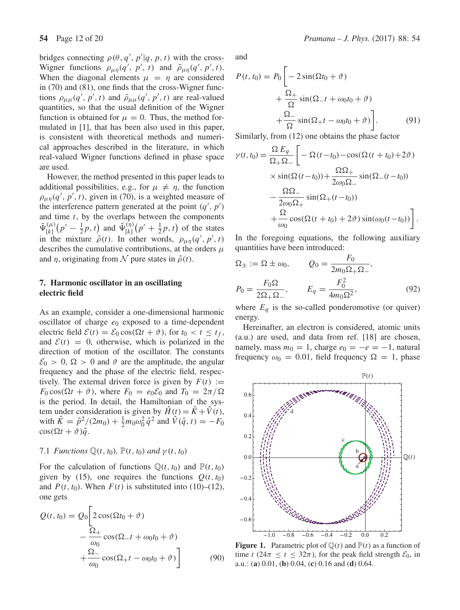bridges connecting  $\rho(\theta, q', p'|q, p, t)$  with the cross-<br>Wigner, functions  $\rho_{\alpha}(q', p', t)$  and  $\tilde{\rho}_{\alpha}(q', p', t)$ Wigner functions  $\rho_{\mu\eta}(q', p', t)$  and  $\tilde{\rho}_{\mu\eta}(q', p', t)$ .<br>When the diagonal elements  $\mu = n$  are considered When the diagonal elements  $\mu = \eta$  are considered in (70) and (81), one finds that the cross-Wigner functions  $\rho_{\mu\mu}(q', p', t)$  and  $\tilde{\rho}_{\mu\mu}(q', p', t)$  are real-valued<br>quantities, so that the usual definition of the Wigner quantities, so that the usual definition of the Wigner function is obtained for  $\mu = 0$ . Thus, the method formulated in [1], that has been also used in this paper, is consistent with theoretical methods and numerical approaches described in the literature, in which real-valued Wigner functions defined in phase space are used.

However, the method presented in this paper leads to additional possibilities, e.g., for  $\mu \neq \eta$ , the function  $\rho_{\mu\eta}(q', p', t)$ , given in (70), is a weighted measure of<br>the interference pattern generated at the point  $(a', p')$ the interference pattern generated at the point  $(q', p')$ <br>and time t by the overlaps between the component and time  $t$ , by the overlaps between the components and time t, by the overlaps between the components<br> $\tilde{\mathbf{u}}^{(\mu)}(x^{\prime}-1, x)$  and  $\tilde{\mathbf{u}}^{(\eta)}(x^{\prime}+1, x, t)$  of the states  $\Psi_{[k]}^{(\mu)}$ <br>in the  $\left(p' - \frac{1}{2}p, t\right)$  and  $\tilde{\Psi}_{[k]}^{(\eta)}$  $\left(p' + \frac{1}{2}p, t\right)$  of the states in the mixture  $\hat{\rho}(t)$ . In other words,  $\rho_{\mu\eta}(q', p')$ <br>describes the cumulative contributions at the order describes the cumulative contributions, at the orders  $\mu$ <br>and *n* originating from  $\mathcal{N}$  pure states in  $\hat{\rho}(t)$ and  $\eta$ , originating from N pure states in  $\hat{\rho}(t)$ .

### **7. Harmonic oscillator in an oscillating electric field**

As an example, consider a one-dimensional harmonic oscillator of charge  $e_0$  exposed to a time-dependent electric field  $\mathcal{E}(t) = \mathcal{E}_0 \cos(\Omega t + \vartheta)$ , for  $t_0 < t \le t_f$ , and  $\mathcal{E}(t) = 0$ , otherwise, which is polarized in the direction of motion of the oscillator. The constants  $\mathcal{E}_0 > 0$ ,  $\Omega > 0$  and  $\vartheta$  are the amplitude, the angular frequency and the phase of the electric field, respectively. The external driven force is given by  $F(t) :=$  $F_0 \cos(\Omega t + \vartheta)$ , where  $F_0 = e_0 \mathcal{E}_0$  and  $T_0 = 2\pi/\Omega$ is the period. In detail, the Hamiltonian of the system under consideration is given by  $\hat{H}(t) = \hat{K} + \hat{V}(t)$ , with  $\hat{K} = \hat{p}^2/(2m_0) + \frac{1}{2}m_0\omega_0^2 \hat{q}^2$  and  $\hat{V}(\hat{q}, t) = -F_0$  $\cos(\Omega t + \vartheta) \hat{q}$ .

#### 7.1 *Functions*  $\mathbb{O}(t, t_0)$ ,  $\mathbb{P}(t, t_0)$  *and*  $\gamma(t, t_0)$

For the calculation of functions  $\mathbb{Q}(t, t_0)$  and  $\mathbb{P}(t, t_0)$ given by (15), one requires the functions  $Q(t, t_0)$ and  $P(t, t_0)$ . When  $F(t)$  is substituted into (10)–(12), one gets

$$
Q(t, t_0) = Q_0 \left[ 2 \cos(\Omega t_0 + \vartheta) - \frac{\Omega_+}{\omega_0} \cos(\Omega_- t + \omega_0 t_0 + \vartheta) + \frac{\Omega_-}{\omega_0} \cos(\Omega_+ t - \omega_0 t_0 + \vartheta) \right]
$$
(90)

and

$$
P(t, t_0) = P_0 \left[ -2 \sin(\Omega t_0 + \vartheta) + \frac{\Omega_+}{\Omega} \sin(\Omega_- t + \omega_0 t_0 + \vartheta) + \frac{\Omega_-}{\Omega} \sin(\Omega_+ t - \omega_0 t_0 + \vartheta) \right].
$$
 (91)

Similarly, from (12) one obtains the phase factor

$$
\gamma(t, t_0) = \frac{\Omega E_q}{\Omega_+ \Omega_-} \left[ -\Omega(t - t_0) - \cos(\Omega(t + t_0) + 2\vartheta) \times \sin(\Omega(t - t_0)) + \frac{\Omega \Omega_+}{2\omega_0 \Omega_-} \sin(\Omega_-(t - t_0)) - \frac{\Omega \Omega_-}{2\omega_0 \Omega_+} \sin(\Omega_+(t - t_0)) + \frac{\Omega}{\omega_0} \cos(\Omega(t + t_0) + 2\vartheta) \sin(\omega_0(t - t_0)) \right].
$$

In the foregoing equations, the following auxiliary quantities have been introduced:

$$
\Omega_{\pm} := \Omega \pm \omega_0, \qquad Q_0 = \frac{F_0}{2m_0 \Omega_+ \Omega_-},
$$
  
\n
$$
P_0 = \frac{F_0 \Omega}{2\Omega_+ \Omega_-}, \qquad E_q = \frac{F_0^2}{4m_0 \Omega^2},
$$
  
\n(92)

where  $E_q$  is the so-called ponderomotive (or quiver) energy.

Hereinafter, an electron is considered, atomic units (a.u.) are used, and data from ref. [18] are chosen, namely, mass  $m_0 = 1$ , charge  $e_0 = -e = -1$ , natural frequency  $\omega_0 = 0.01$ , field frequency  $\Omega = 1$ , phase



**Figure 1.** Parametric plot of  $\mathbb{Q}(t)$  and  $\mathbb{P}(t)$  as a function of time t (24 $\pi \le t \le 32\pi$ ), for the peak field strength  $\mathcal{E}_0$ , in a.u.: (**a**) 0.01, (**b**) 0.04, (**c**) 0.16 and (**d**) 0.64.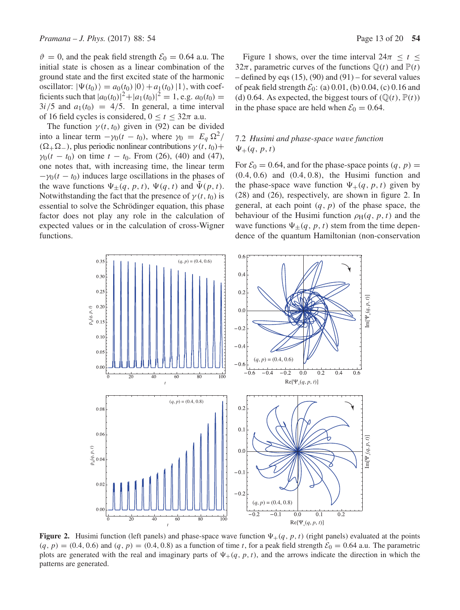$\vartheta = 0$ , and the peak field strength  $\mathcal{E}_0 = 0.64$  a.u. The initial state is chosen as a linear combination of the ground state and the first excited state of the harmonic oscillator:  $|\Psi(t_0)\rangle = a_0(t_0)|0\rangle + a_1(t_0)|1\rangle$ , with coefficients such that  $|a_0(t_0)|^2 + |a_1(t_0)|^2 = 1$ , e.g.  $a_0(t_0) =$ <br>3*i*/5 and  $a_1(t_0) = 4/5$  In general a time interval  $3i/5$  and  $a_1(t_0) = 4/5$ . In general, a time interval of 16 field cycles is considered,  $0 \le t \le 32\pi$  a.u.

The function  $\gamma(t, t_0)$  given in (92) can be divided into a linear term  $-\gamma_0(t - t_0)$ , where  $\gamma_0 = E_q \Omega^2$  $(\Omega_+ \Omega_-)$ , plus periodic nonlinear contributions  $\gamma(t, t_0)$ +  $\gamma_0(t - t_0)$  on time  $t - t_0$ . From (26), (40) and (47), one notes that, with increasing time, the linear term  $-\gamma_0(t - t_0)$  induces large oscillations in the phases of the wave functions  $\Psi_+(q, p, t)$ ,  $\Psi(q, t)$  and  $\tilde{\Psi}(p, t)$ . Notwithstanding the fact that the presence of  $\gamma(t, t_0)$  is essential to solve the Schrödinger equation, this phase factor does not play any role in the calculation of expected values or in the calculation of cross-Wigner functions.

Figure 1 shows, over the time interval  $24\pi \le t \le$ 32 $\pi$ , parametric curves of the functions  $\mathbb{Q}(t)$  and  $\mathbb{P}(t)$ – defined by eqs  $(15)$ ,  $(90)$  and  $(91)$  – for several values of peak field strength  $\mathcal{E}_0$ : (a) 0.01, (b) 0.04, (c) 0.16 and (d) 0.64. As expected, the biggest tours of  $(\mathbb{Q}(t), \mathbb{P}(t))$ in the phase space are held when  $\mathcal{E}_0 = 0.64$ .

# 7.2 *Husimi and phase-space wa*v*e function*  $\Psi_+(q, p, t)$

For  $\mathcal{E}_0 = 0.64$ , and for the phase-space points  $(q, p)$  = (0.4, <sup>0</sup>.6) and (0.4, <sup>0</sup>.8), the Husimi function and the phase-space wave function  $\Psi_+(q, p, t)$  given by (28) and (26), respectively, are shown in figure 2. In general, at each point  $(q, p)$  of the phase space, the behaviour of the Husimi function  $\rho_H(q, p, t)$  and the wave functions  $\Psi_{\pm}(q, p, t)$  stem from the time dependence of the quantum Hamiltonian (non-conservation



**Figure 2.** Husimi function (left panels) and phase-space wave function  $\Psi_+(q, p, t)$  (right panels) evaluated at the points  $(q, p) = (0.4, 0.6)$  and  $(q, p) = (0.4, 0.8)$  as a function of time t, for a peak field strength  $\mathcal{E}_0 = 0.64$  a.u. The parametric plots are generated with the real and imaginary parts of  $\Psi_+(q, p, t)$ , and the arrows indicate the direction in which the patterns are generated.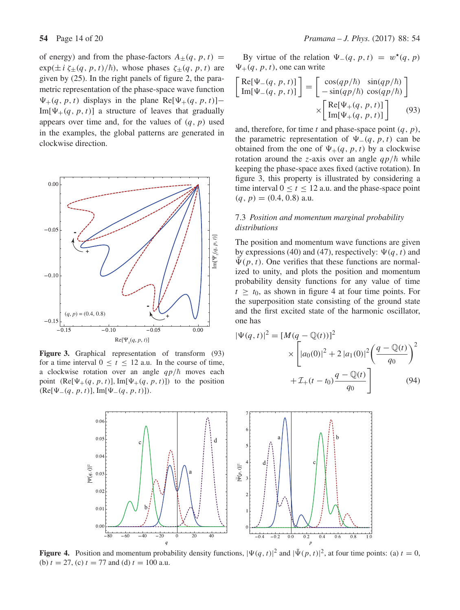of energy) and from the phase-factors  $A_{\pm}(q, p, t)$  =  $\exp(\pm i \zeta_{\pm}(q, p, t)/\hbar)$ , whose phases  $\zeta_{\pm}(q, p, t)$  are given by (25). In the right panels of figure 2, the paragiven by (25). In the right panels of figure 2, the parametric representation of the phase-space wave function  $\Psi_{+}(q, p, t)$  displays in the plane Re[ $\Psi_{+}(q, p, t)$ ]–  $Im[\Psi_+(q, p, t)]$  a structure of leaves that gradually appears over time and, for the values of  $(q, p)$  used in the examples, the global patterns are generated in clockwise direction.



**Figure 3.** Graphical representation of transform (93) for a time interval  $0 \le t \le 12$  a.u. In the course of time, a clockwise rotation over an angle  $qp/\hbar$  moves each<br>point  $(Re[W_1(a, p, t)] | Im[W_1(a, p, t)])$  to the position point  $(Re[\Psi_{+}(q, p, t)], Im[\Psi_{+}(q, p, t)])$  to the position  $(Re[\Psi_{-}(q, p, t)], Im[\Psi_{-}(q, p, t)]).$ 

By virtue of the relation  $\Psi_{-}(q, p, t) = w^*(q, p)$  $\Psi_+(q, p, t)$ , one can write

$$
\begin{bmatrix} \text{Re}[\Psi_{-}(q, p, t)] \\ \text{Im}[\Psi_{-}(q, p, t)] \end{bmatrix} = \begin{bmatrix} \cos(qp/\hbar) & \sin(qp/\hbar) \\ -\sin(qp/\hbar) & \cos(qp/\hbar) \end{bmatrix}
$$

$$
\times \begin{bmatrix} \text{Re}[\Psi_{+}(q, p, t)] \\ \text{Im}[\Psi_{+}(q, p, t)] \end{bmatrix}
$$
(93)

and, therefore, for time t and phase-space point  $(q, p)$ , the parametric representation of  $\Psi_{-}(q, p, t)$  can be obtained from the one of  $\Psi_+(q, p, t)$  by a clockwise rotation around the *z*-axis over an angle  $qp/\hbar$  while<br>keeping the phase-space axes fixed (active rotation). In keeping the phase-space axes fixed (active rotation). In figure 3, this property is illustrated by considering a time interval  $0 \le t \le 12$  a.u. and the phase-space point  $(q, p) = (0.4, 0.8)$  a.u.

### 7.3 *Position and momentum marginal probability distributions*

The position and momentum wave functions are given by expressions (40) and (47), respectively:  $\Psi(q, t)$  and  $\Psi(p, t)$ . One verifies that these functions are normalized to unity, and plots the position and momentum probability density functions for any value of time  $t \geq t_0$ , as shown in figure 4 at four time points. For the superposition state consisting of the ground state and the first excited state of the harmonic oscillator, one has

$$
|\Psi(q, t)|^2 = [M(q - \mathbb{Q}(t))]^2
$$
  
 
$$
\times \left[ |a_0(0)|^2 + 2 |a_1(0)|^2 \left( \frac{q - \mathbb{Q}(t)}{q_0} \right)^2 + \mathcal{I}_+(t - t_0) \frac{q - \mathbb{Q}(t)}{q_0} \right]
$$
(94)



**Figure 4.** Position and momentum probability density functions,  $|\Psi(q, t)|^2$  and  $|\tilde{\Psi}(p, t)|^2$ , at four time points: (a)  $t = 0$ , (b)  $t = 27$  (c)  $t = 77$  and (d)  $t = 100$  a.u. (b)  $t = 27$ , (c)  $t = 77$  and (d)  $t = 100$  a.u.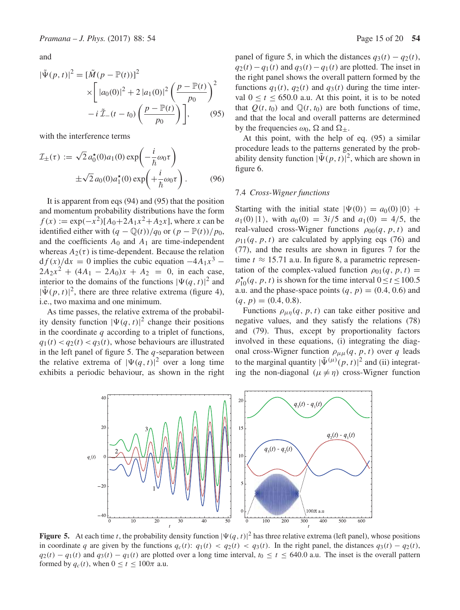and

$$
|\tilde{\Psi}(p, t)|^2 = [\tilde{M}(p - \mathbb{P}(t))]^2
$$
  
 
$$
\times \left[ |a_0(0)|^2 + 2 |a_1(0)|^2 \left( \frac{p - \mathbb{P}(t)}{p_0} \right)^2 - i \tilde{\mathcal{I}}_-(t - t_0) \left( \frac{p - \mathbb{P}(t)}{p_0} \right) \right],
$$
 (95)

with the interference terms

$$
\mathcal{I}_{\pm}(\tau) := \sqrt{2} a_0^{\star}(0) a_1(0) \exp\left(-\frac{i}{\hbar}\omega_0 \tau\right)
$$

$$
\pm \sqrt{2} a_0(0) a_1^{\star}(0) \exp\left(+\frac{i}{\hbar}\omega_0 \tau\right).
$$
(96)

It is apparent from eqs (94) and (95) that the position and momentum probability distributions have the form  $f(x) := \exp(-x^2)[A_0 + 2A_1x^2 + A_2x]$ , where x can be identified either with  $(q - \mathbb{Q}(t))/q_0$  or  $(p - \mathbb{P}(t))/p_0$ , and the coefficients  $A_0$  and  $A_1$  are time-independent whereas  $A_2(\tau)$  is time-dependent. Because the relation  $d f(x)/dx = 0$  implies the cubic equation  $-4A_1x^3$  –  $2A_2x^2 + (4A_1 - 2A_0)x + A_2 = 0$ , in each case, interior to the domains of the functions  $|\Psi(q, t)|^2$  and<br> $|\tilde{\Psi}(p, t)|^2$  there are three relative extrema (figure 4)  $|\tilde{\Psi}(p, t)|^2$ , there are three relative extrema (figure 4),<br>i.e. two maxima and one minimum i.e., two maxima and one minimum.

As time passes, the relative extrema of the probability density function  $|\Psi(q, t)|^2$  change their positions<br>in the coordinate *a* according to a triplet of functions in the coordinate  $q$  according to a triplet of functions,  $q_1(t) < q_2(t) < q_3(t)$ , whose behaviours are illustrated in the left panel of figure 5. The  $q$ -separation between the relative extrema of  $|\Psi(q, t)|^2$  over a long time<br>exhibits a periodic behaviour as shown in the right exhibits a periodic behaviour, as shown in the right panel of figure 5, in which the distances  $q_3(t) - q_2(t)$ ,  $q_2(t) - q_1(t)$  and  $q_3(t) - q_1(t)$  are plotted. The inset in the right panel shows the overall pattern formed by the functions  $q_1(t)$ ,  $q_2(t)$  and  $q_3(t)$  during the time interval  $0 < t < 650.0$  a.u. At this point, it is to be noted that  $Q(t, t_0)$  and  $\mathbb{Q}(t, t_0)$  are both functions of time, and that the local and overall patterns are determined by the frequencies  $\omega_0$ ,  $\Omega$  and  $\Omega_{\pm}$ .

At this point, with the help of eq. (95) a similar procedure leads to the patterns generated by the probability density function  $|\tilde{\Psi}(p, t)|^2$ , which are shown in<br>figure 6 figure 6.

#### 7.4 *Cross-Wigner functions*

Starting with the initial state  $|\Psi(0)\rangle = a_0(0)|0\rangle +$  $a_1(0)|1\rangle$ , with  $a_0(0) = 3i/5$  and  $a_1(0) = 4/5$ , the real-valued cross-Wigner functions  $\rho_{00}(q, p, t)$  and  $\rho_{11}(q, p, t)$  are calculated by applying eqs (76) and (77), and the results are shown in figures 7 for the time  $t \approx 15.71$  a.u. In figure 8, a parametric representation of the complex-valued function  $\rho_{01}(q, p, t)$  =  $\rho_{10}^*(q, p, t)$  is shown for the time interval  $0 \le t \le 100.5$ <br>a u and the phase-space points  $(a, n) = (0.4, 0.6)$  and a.u. and the phase-space points  $(q, p) = (0.4, 0.6)$  and  $(q, p) = (0.4, 0.8).$ 

Functions  $\rho_{\mu\eta}(q, p, t)$  can take either positive and negative values, and they satisfy the relations (78) and (79). Thus, except by proportionality factors involved in these equations, (i) integrating the diagonal cross-Wigner function  $\rho_{\mu\mu}(q, p, t)$  over q leads to the marginal quantity  $|\tilde{\Psi}^{(\mu)}(p, t)|^2$  and (ii) integrat-<br>ing the non-diagonal  $(\mu \neq n)$  cross-Wigner function ing the non-diagonal ( $\mu \neq \eta$ ) cross-Wigner function



**Figure 5.** At each time t, the probability density function  $|\Psi(q, t)|^2$  has three relative extrema (left panel), whose positions in coordinate a are given by the functions a  $(t) \le a_2(t) \le a_2(t) \le a_2(t)$ . In the right panel, in coordinate q are given by the functions  $q_c(t)$ :  $q_1(t) < q_2(t) < q_3(t)$ . In the right panel, the distances  $q_3(t) - q_2(t)$ ,  $q_2(t) - q_1(t)$  and  $q_3(t) - q_1(t)$  are plotted over a long time interval,  $t_0 \le t \le 640.0$  a.u. The inset is the overall pattern formed by  $q_c(t)$ , when  $0 \le t \le 100\pi$  a.u.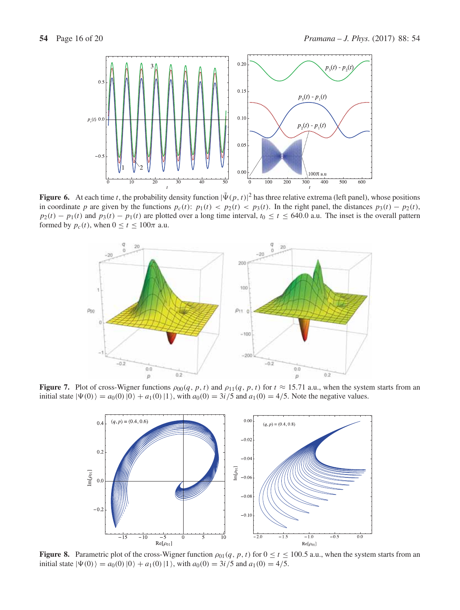

**Figure 6.** At each time t, the probability density function  $|\tilde{\Psi}(p, t)|^2$  has three relative extrema (left panel), whose positions in coordinate n are given by the functions  $p_1(t) \leq p_2(t) \leq p_3(t)$ . In the right panel, in coordinate p are given by the functions  $p_c(t)$ :  $p_1(t) < p_2(t) < p_3(t)$ . In the right panel, the distances  $p_3(t) - p_2(t)$ ,  $p_2(t) - p_1(t)$  and  $p_3(t) - p_1(t)$  are plotted over a long time interval,  $t_0 \le t \le 640.0$  a.u. The inset is the overall pattern formed by  $p_c(t)$ , when  $0 \le t \le 100\pi$  a.u.



**Figure 7.** Plot of cross-Wigner functions  $\rho_{00}(q, p, t)$  and  $\rho_{11}(q, p, t)$  for  $t \approx 15.71$  a.u., when the system starts from an initial state  $|\Psi(0)\rangle = a_0(0) |0\rangle + a_1(0) |1\rangle$ , with  $a_0(0) = 3i/5$  and  $a_1(0) = 4/5$ . Note the negative values.



**Figure 8.** Parametric plot of the cross-Wigner function  $\rho_{01}(q, p, t)$  for  $0 \le t \le 100.5$  a.u., when the system starts from an initial state  $|\Psi(0)\rangle = a_0(0) |0\rangle + a_1(0) |1\rangle$ , with  $a_0(0) = 3i/5$  and  $a_1(0) = 4/5$ .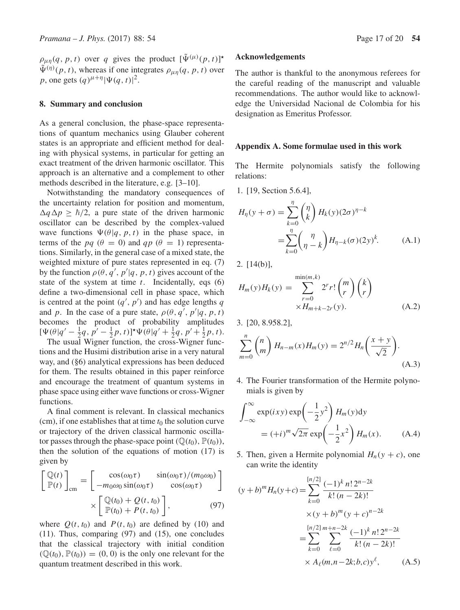$\rho_{\mu\eta}(q, p, t)$  over q gives the product  $[\Psi^{(\mu)}(p, t)]^*$  $\tilde{\Psi}^{(\eta)}(p, t)$ , whereas if one integrates  $\rho_{\mu\eta}(q, p, t)$  over *p*, one gets  $(q)^{\mu+\eta} |\Psi(q, t)|^2$ .

### **8. Summary and conclusion**

As a general conclusion, the phase-space representations of quantum mechanics using Glauber coherent states is an appropriate and efficient method for dealing with physical systems, in particular for getting an exact treatment of the driven harmonic oscillator. This approach is an alternative and a complement to other methods described in the literature, e.g. [3–10].

Notwithstanding the mandatory consequences of the uncertainty relation for position and momentum,  $\Delta q \Delta p \ge \hbar/2$ , a pure state of the driven harmonic<br>oscillator can be described by the complex-valued oscillator can be described by the complex-valued wave functions  $\Psi(\theta|q, p, t)$  in the phase space, in terms of the pq ( $\theta = 0$ ) and qp ( $\theta = 1$ ) representations. Similarly, in the general case of a mixed state, the weighted mixture of pure states represented in eq. (7) by the function  $\rho(\theta, q', p'|q, p, t)$  gives account of the system at time t. Incidentally eqs. (6) state of the system at time  $t$ . Incidentally, eqs (6) define a two-dimensional cell in phase space, which is centred at the point  $(q', p')$  and has edge lengths q<br>and n. In the case of a pure state,  $q(\theta, q', p'|\alpha, n, t)$ and p. In the case of a pure state,  $\rho(\theta, q', p')$ <br>becomes the product of probability am and p. In the case of a pure state,  $\rho(\theta, q', p'|q, p, t)$ <br>becomes the product of probability amplitudes  $[\Psi(\theta)q' - \frac{1}{2}q, p' - \frac{1}{2}p, t)]^* \Psi(\theta|q' + \frac{1}{2}q, p' + \frac{1}{2}p, t).$ <br>The usual Wigner function, the cross-Wigner func- $Q(\theta|q' - \frac{1}{2}q, p' - \frac{1}{2}p, t)$   $\Gamma$   $\Psi(\theta|q' + \frac{1}{2}q, p' + \frac{1}{2}p, t)$ .<br>The usual Wigner function, the cross-Wigner func-

tions and the Husimi distribution arise in a very natural way, and (§6) analytical expressions has been deduced for them. The results obtained in this paper reinforce and encourage the treatment of quantum systems in phase space using either wave functions or cross-Wigner functions.

A final comment is relevant. In classical mechanics (cm), if one establishes that at time  $t_0$  the solution curve or trajectory of the driven classical harmonic oscillator passes through the phase-space point  $(\mathbb{Q}(t_0), \mathbb{P}(t_0)),$ then the solution of the equations of motion (17) is given by

$$
\begin{bmatrix}\n\mathbb{Q}(t) \\
\mathbb{P}(t)\n\end{bmatrix}_{\text{cm}} = \begin{bmatrix}\n\cos(\omega_0 \tau) & \sin(\omega_0 \tau) / (m_0 \omega_0) \\
-m_0 \omega_0 \sin(\omega_0 \tau) & \cos(\omega_0 \tau)\n\end{bmatrix} \times \begin{bmatrix}\n\mathbb{Q}(t_0) + Q(t, t_0) \\
\mathbb{P}(t_0) + P(t, t_0)\n\end{bmatrix},
$$
\n(97)

where  $Q(t, t_0)$  and  $P(t, t_0)$  are defined by (10) and (11). Thus, comparing (97) and (15), one concludes that the classical trajectory with initial condition  $(\mathbb{Q}(t_0), \mathbb{P}(t_0)) = (0, 0)$  is the only one relevant for the quantum treatment described in this work.

#### **Acknowledgements**

The author is thankful to the anonymous referees for the careful reading of the manuscript and valuable recommendations. The author would like to acknowledge the Universidad Nacional de Colombia for his designation as Emeritus Professor.

### **Appendix A. Some formulae used in this work**

The Hermite polynomials satisfy the following relations:

1. [19, Section 5.6.4],

$$
H_{\eta}(y + \sigma) = \sum_{k=0}^{\eta} \binom{\eta}{k} H_k(y) (2\sigma)^{\eta - k}
$$
  
= 
$$
\sum_{k=0}^{\eta} \binom{\eta}{\eta - k} H_{\eta - k}(\sigma) (2y)^k.
$$
 (A.1)

2. [14(b)],

$$
H_m(y)H_k(y) = \sum_{\substack{r=0 \ xH_{m+k-2r}(y)}}^{\min(m,k)} 2^r r! {m \choose r} {k \choose r}
$$
  
×*H\_{m+k-2r}(y).* (A.2)

3. [20, 8.958.2],

$$
\sum_{m=0}^{n} {n \choose m} H_{n-m}(x) H_m(y) = 2^{n/2} H_n \left( \frac{x+y}{\sqrt{2}} \right).
$$
\n(A.3)

4. The Fourier transformation of the Hermite polynomials is given by

$$
\int_{-\infty}^{\infty} \exp(ixy) \exp\left(-\frac{1}{2}y^2\right) H_m(y) dy
$$
  
=  $(+i)^m \sqrt{2\pi} \exp\left(-\frac{1}{2}x^2\right) H_m(x).$  (A.4)

5. Then, given a Hermite polynomial  $H_n(y + c)$ , one can write the identity

$$
(y+b)^m H_n(y+c) = \sum_{k=0}^{[n/2]} \frac{(-1)^k n! 2^{n-2k}}{k! (n-2k)!}
$$
  
 
$$
\times (y+b)^m (y+c)^{n-2k}
$$
  
 
$$
= \sum_{k=0}^{[n/2]} \sum_{\ell=0}^{m+n-2k} \frac{(-1)^k n! 2^{n-2k}}{k! (n-2k)!}
$$
  
 
$$
\times A_\ell(m, n-2k; b, c) y^\ell,
$$
 (A.5)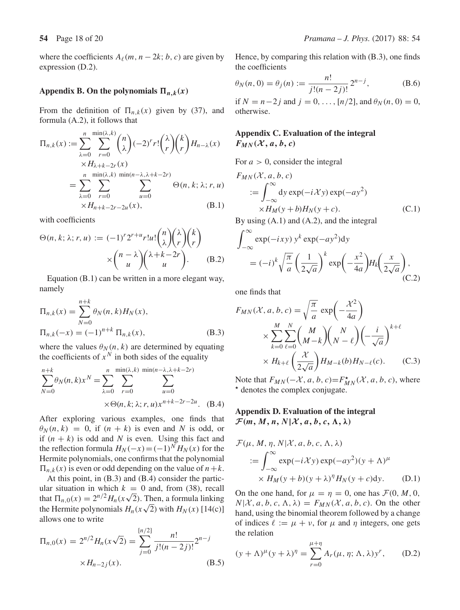where the coefficients  $A_{\ell}(m, n-2k; b, c)$  are given by expression (D.2).

### Appendix B. On the polynomials  $\Pi_{n,k}(x)$

From the definition of  $\Pi_{n,k}(x)$  given by (37), and formula (A.2), it follows that

$$
\Pi_{n,k}(x) := \sum_{\lambda=0}^{n} \sum_{r=0}^{\min(\lambda,k)} \binom{n}{\lambda} (-2)^r r! \binom{\lambda}{r} \binom{k}{r} H_{n-\lambda}(x)
$$
  
\n
$$
\times H_{\lambda+k-2r}(x)
$$
  
\n
$$
= \sum_{\lambda=0}^{n} \sum_{r=0}^{\min(\lambda,k)} \sum_{u=0}^{\min(n-\lambda,\lambda+k-2r)} \Theta(n,k;\lambda;r,u)
$$
  
\n
$$
\times H_{n+k-2r-2u}(x),
$$
 (B.1)

with coefficients

$$
\Theta(n, k; \lambda; r, u) := (-1)^r 2^{r+u} r! u! \binom{n}{\lambda} \binom{\lambda}{r} \binom{k}{r} \\
\times \binom{n-\lambda}{u} \binom{\lambda+k-2r}{u}.
$$
 (B.2)

Equation (B.1) can be written in a more elegant way, namely

$$
\Pi_{n,k}(x) = \sum_{N=0}^{n+k} \theta_N(n,k) H_N(x),
$$
  
\n
$$
\Pi_{n,k}(-x) = (-1)^{n+k} \Pi_{n,k}(x),
$$
\n(B.3)

where the values  $\theta_N(n, k)$  are determined by equating the coefficients of  $x^N$  in both sides of the equality

$$
\sum_{N=0}^{n+k} \theta_N(n,k)x^N = \sum_{\lambda=0}^n \sum_{r=0}^{\min(\lambda,k)} \sum_{u=0}^{\min(n-\lambda,\lambda+k-2r)} \sum_{u=0}^{\min(n-\lambda,\lambda+k-2r)} \times \Theta(n,k;\lambda;r,u)x^{n+k-2r-2u}.
$$
 (B.4)

After exploring various examples, one finds that  $\theta_N(n, k) = 0$ , if  $(n + k)$  is even and N is odd, or if  $(n + k)$  is odd and N is even. Using this fact and the reflection formula  $H_N(-x) = (-1)^N H_N(x)$  for the Hermite polynomials, one confirms that the polynomial  $\Pi_{n,k}(x)$  is even or odd depending on the value of  $n+k$ .

At this point, in (B.3) and (B.4) consider the partic-<br>ular situation in which  $k = 0$  and, from (38), recall ular situation in which  $k = 0$  and, from (38), recall<br>that  $\Pi_{n,0}(x) = 2^{n/2} H_n(x\sqrt{2})$ . Then, a formula linking<br>the Hermite polynomials  $H_n(x\sqrt{2})$  with  $H_n(x)$  [14(c)] the Hermite polynomials  $H_n(x\sqrt{2})$  with  $H_N(x)$  [14(c)] allows one to write

$$
\Pi_{n,0}(x) = 2^{n/2} H_n(x\sqrt{2}) = \sum_{j=0}^{[n/2]} \frac{n!}{j!(n-2j)!} 2^{n-j}
$$
  
×*H*<sub>n-2j</sub>(*x*). (B.5)

Hence, by comparing this relation with (B.3), one finds the coefficients

$$
\theta_N(n, 0) = \theta_j(n) := \frac{n!}{j!(n-2j)!} 2^{n-j},
$$
\n(B.6)

if  $N = n-2j$  and  $j = 0, ..., [n/2]$ , and  $\theta_N(n, 0) = 0$ , otherwise otherwise.

# **Appendix C. Evaluation of the integral**  $F_{MN}(X, a, b, c)$

For  $a > 0$ , consider the integral

$$
F_{MN}(X, a, b, c)
$$
  
\n
$$
:= \int_{-\infty}^{\infty} dy \exp(-i\mathcal{X}y) \exp(-ay^2)
$$
  
\n
$$
\times H_M(y + b)H_N(y + c).
$$
  
\nBy using (A.1) and (A.2), and the integral

$$
\int_{-\infty}^{\infty} \exp(-ixy) y^k \exp(-ay^2) dy
$$
  
=  $(-i)^k \sqrt{\frac{\pi}{a}} \left(\frac{1}{2\sqrt{a}}\right)^k \exp\left(-\frac{x^2}{4a}\right) H_k\left(\frac{x}{2\sqrt{a}}\right),$  (C.2)

one finds that

$$
F_{MN}(\mathcal{X}, a, b, c) = \sqrt{\frac{\pi}{a}} \exp\left(-\frac{\mathcal{X}^2}{4a}\right)
$$

$$
\times \sum_{k=0}^{M} \sum_{\ell=0}^{N} {M \choose M-k} {N \choose N-\ell} \left(-\frac{i}{\sqrt{a}}\right)^{k+\ell}
$$

$$
\times H_{k+\ell} \left(\frac{\mathcal{X}}{2\sqrt{a}}\right) H_{M-k}(b) H_{N-\ell}(c). \tag{C.3}
$$

Note that  $F_{MN}(-X, a, b, c) = F_{MN}^*(X, a, b, c)$ , where  $\star$  denotes the complex conjugate.

# **Appendix D. Evaluation of the integral**  $\mathcal{F}(m, M, n, N | \mathcal{X}, a, b, c, \Lambda, \lambda)$

$$
\mathcal{F}(\mu, M, \eta, N | \mathcal{X}, a, b, c, \Lambda, \lambda)
$$
  
 := 
$$
\int_{-\infty}^{\infty} \exp(-i\mathcal{X}y) \exp(-ay^2)(y + \Lambda)^{\mu}
$$
  
 
$$
\times H_M(y + b)(y + \lambda)^{\eta} H_N(y + c) dy.
$$
 (D.1)

On the one hand, for  $\mu = \eta = 0$ , one has  $\mathcal{F}(0, M, 0, \mathcal{F})$  $N|\mathcal{X}, a, b, c, \Lambda, \lambda) = F_{MN}(\mathcal{X}, a, b, c)$ . On the other hand, using the binomial theorem followed by a change of indices  $\ell := \mu + \nu$ , for  $\mu$  and  $\eta$  integers, one gets the relation

$$
(y + \Lambda)^{\mu} (y + \lambda)^{\eta} = \sum_{r=0}^{\mu + \eta} A_r(\mu, \eta; \Lambda, \lambda) y^r, \quad (D.2)
$$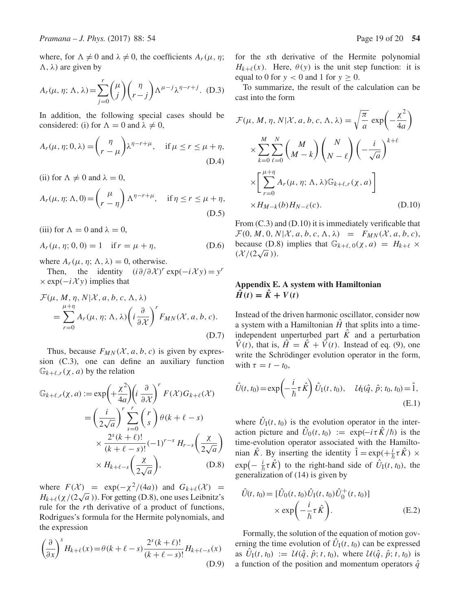where, for  $\Lambda \neq 0$  and  $\lambda \neq 0$ , the coefficients  $A_r(\mu, \eta)$ ;  $(\Lambda, \lambda)$  are given by

$$
A_r(\mu, \eta; \Lambda, \lambda) = \sum_{j=0}^r \binom{\mu}{j} \binom{\eta}{r-j} \Lambda^{\mu-j} \lambda^{\eta-r+j}.
$$
 (D.3)

In addition, the following special cases should be considered: (i) for  $\Lambda = 0$  and  $\lambda \neq 0$ ,

$$
A_r(\mu, \eta; 0, \lambda) = {n \choose r - \mu} \lambda^{\eta - r + \mu}, \quad \text{if } \mu \le r \le \mu + \eta,
$$
\n(D.4)

(ii) for  $\Lambda \neq 0$  and  $\lambda = 0$ ,

$$
A_r(\mu, \eta; \Lambda, 0) = \begin{pmatrix} \mu \\ r - \eta \end{pmatrix} \Lambda^{\eta - r + \mu}, \quad \text{if } \eta \le r \le \mu + \eta,
$$
\n(D.5)

(iii) for  $\Lambda = 0$  and  $\lambda = 0$ ,

$$
A_r(\mu, \eta; 0, 0) = 1 \quad \text{if } r = \mu + \eta,
$$
 (D.6)

where  $A_r(\mu, \eta; \Lambda, \lambda) = 0$ , otherwise.

Then, the identity  $(i\partial/\partial \mathcal{X})^r$  exp( $-i\mathcal{X}$  y) = y<sup>r</sup>  $\times$  exp( $-i \mathcal{X}$ y) implies that

$$
\mathcal{F}(\mu, M, \eta, N | \mathcal{X}, a, b, c, \Lambda, \lambda)
$$
  
= 
$$
\sum_{r=0}^{\mu+\eta} A_r(\mu, \eta; \Lambda, \lambda) \left( i \frac{\partial}{\partial \mathcal{X}} \right)^r F_{MN}(\mathcal{X}, a, b, c).
$$
 (D.7)

Thus, because  $F_{MN}(X, a, b, c)$  is given by expression (C.3), one can define an auxiliary function  $\mathbb{G}_{k+\ell,r}(\chi, a)$  by the relation

$$
\mathbb{G}_{k+\ell,r}(\chi, a) := \exp\left(+\frac{\chi^2}{4a}\right) \left(i\frac{\partial}{\partial \chi}\right)^r F(\mathcal{X}) G_{k+\ell}(\mathcal{X})
$$

$$
= \left(\frac{i}{2\sqrt{a}}\right)^r \sum_{s=0}^r \binom{r}{s} \theta(k+\ell-s)
$$

$$
\times \frac{2^s (k+\ell)!}{(k+\ell-s)!} (-1)^{r-s} H_{r-s} \left(\frac{\chi}{2\sqrt{a}}\right)
$$

$$
\times H_{k+\ell-s} \left(\frac{\chi}{2\sqrt{a}}\right), \tag{D.8}
$$

where  $F(\mathcal{X}) = \exp(-\chi^2/(4a))$  and  $G_{k+\ell}(\mathcal{X}) =$  $H_{k+\ell}(\chi/(2\sqrt{a}))$ . For getting (D.8), one uses Leibnitz's<br>rule for the rth derivative of a product of functions rule for the rth derivative of a product of functions, Rodrigues's formula for the Hermite polynomials, and the expression

$$
\left(\frac{\partial}{\partial x}\right)^s H_{k+\ell}(x) = \theta(k+\ell-s) \frac{2^s(k+\ell)!}{(k+\ell-s)!} H_{k+\ell-s}(x)
$$
\n(D.9)

for the sth derivative of the Hermite polynomial  $H_{k+\ell}(x)$ . Here,  $\theta(y)$  is the unit step function: it is equal to 0 for  $y < 0$  and 1 for  $y \ge 0$ .

To summarize, the result of the calculation can be cast into the form

$$
\mathcal{F}(\mu, M, \eta, N | \mathcal{X}, a, b, c, \Lambda, \lambda) = \sqrt{\frac{\pi}{a}} \exp\left(-\frac{\chi^2}{4a}\right)
$$

$$
\times \sum_{k=0}^{M} \sum_{\ell=0}^{N} {M \choose M-k} {N \choose N-\ell} \left(-\frac{i}{\sqrt{a}}\right)^{k+\ell}
$$

$$
\times \left[\sum_{r=0}^{\mu+\eta} A_r(\mu, \eta; \Lambda, \lambda) \mathbb{G}_{k+\ell,r}(\chi, a)\right]
$$

$$
\times H_{M-k}(b) H_{N-\ell}(c).
$$
(D.10)

From (C.3) and (D.10) it is immediately verificable that  $\mathcal{F}(0, M, 0, N | \mathcal{X}, a, b, c, \Lambda, \lambda) = F_{MN}(\mathcal{X}, a, b, c),$ because (D.8) implies that  $\mathbb{G}_{k+\ell,0}(\chi,a) = H_{k+\ell} \times$  $(\mathcal{X}/(2\sqrt{a})).$ 

### **Appendix E. A system with Hamiltonian**  $\hat{H}(t) = \hat{K} + V(t)$

Instead of the driven harmonic oscillator, consider now a system with a Hamiltonian  $\hat{H}$  that splits into a timeindependent unperturbed part  $\hat{K}$  and a perturbation  $\hat{V}(t)$ , that is,  $\hat{H} = \hat{K} + \hat{V}(t)$ . Instead of eq. (9), one write the Schrödinger evolution operator in the form, with  $\tau = t - t_0$ ,

$$
\hat{U}(t, t_0) = \exp\left(-\frac{i}{\hbar}\tau \hat{K}\right)\hat{U}_I(t, t_0), \quad \mathcal{U}_I(\hat{q}, \hat{p}; t_0, t_0) = \hat{1},
$$
\n(E.1)

where  $\hat{U}_I(t, t_0)$  is the evolution operator in the interaction picture and  $\bar{U}_0(t, t_0) := \exp(-i\tau \hat{K}/\hbar)$  is the time-evolution operator associated with the Hamiltotime-evolution operator associated with the Hamiltonian K<sup> $\cdot$ </sup>. By inserting the identity  $1 = \exp(+\frac{1}{\hbar}\tau K) \times$ <br>  $\exp(-\frac{i}{\hbar}\tau \hat{K})$  to the right hand side of  $\hat{U}$  (*t*, *t*) the  $\exp(-\frac{i}{\hbar}\tau \hat{K})$  to the right-hand side of  $\hat{U}_I(t, t_0)$ , the generalization of (14) is given by generalization of (14) is given by

$$
\hat{U}(t, t_0) = [\hat{U}_0(t, t_0)\hat{U}_1(t, t_0)\hat{U}_0^+(t, t_0)]
$$
\n
$$
\times \exp\left(-\frac{i}{\hbar}\tau \hat{K}\right).
$$
\n(E.2)

Formally, the solution of the equation of motion governing the time evolution of  $\hat{U}_I(t, t_0)$  can be expressed as  $\hat{U}_I(t, t_0) := \mathcal{U}(\hat{q}, \hat{p}; t, t_0)$ , where  $\mathcal{U}(\hat{q}, \hat{p}; t, t_0)$  is a function of the position and momentum operators  $\hat{q}$